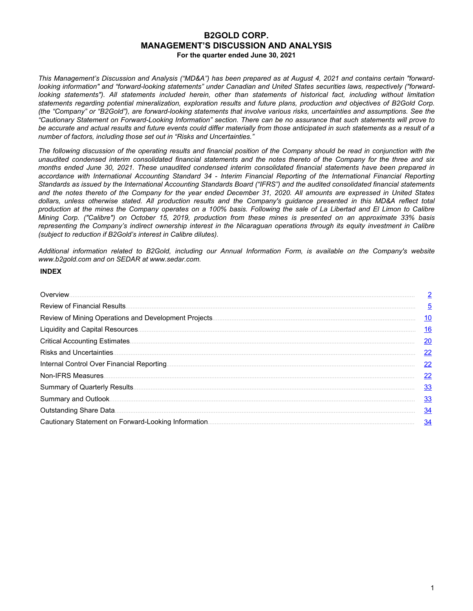# **B2GOLD CORP. MANAGEMENT'S DISCUSSION AND ANALYSIS For the quarter ended June 30, 2021**

*This Management's Discussion and Analysis ("MD&A") has been prepared as at August 4, 2021 and contains certain "forwardlooking information" and "forward-looking statements" under Canadian and United States securities laws, respectively ("forwardlooking statements"). All statements included herein, other than statements of historical fact, including without limitation statements regarding potential mineralization, exploration results and future plans, production and objectives of B2Gold Corp. (the "Company" or "B2Gold"), are forward-looking statements that involve various risks, uncertainties and assumptions. See the "Cautionary Statement on Forward-Looking Information" section. There can be no assurance that such statements will prove to be accurate and actual results and future events could differ materially from those anticipated in such statements as a result of a number of factors, including those set out in "Risks and Uncertainties."*

*The following discussion of the operating results and financial position of the Company should be read in conjunction with the unaudited condensed interim consolidated financial statements and the notes thereto of the Company for the three and six months ended June 30, 2021. These unaudited condensed interim consolidated financial statements have been prepared in accordance with International Accounting Standard 34 - Interim Financial Reporting of the International Financial Reporting Standards as issued by the International Accounting Standards Board ("IFRS") and the audited consolidated financial statements and the notes thereto of the Company for the year ended December 31, 2020. All amounts are expressed in United States dollars, unless otherwise stated. All production results and the Company's guidance presented in this MD&A reflect total production at the mines the Company operates on a 100% basis. Following the sale of La Libertad and El Limon to Calibre Mining Corp. ("Calibre") on October 15, 2019, production from these mines is presented on an approximate 33% basis representing the Company's indirect ownership interest in the Nicaraguan operations through its equity investment in Calibre (subject to reduction if B2Gold's interest in Calibre dilutes).*

*Additional information related to B2Gold, including our Annual Information Form, is available on the Company's website www.b2gold.com and on SEDAR at www.sedar.com.*

## **INDEX**

| Overview. | $\overline{2}$ |
|-----------|----------------|
|           | $\overline{5}$ |
|           | 10             |
|           | <u> 16</u>     |
|           | 20             |
|           | 22             |
|           | 22             |
|           | 22             |
|           | <u>33</u>      |
|           | <u>33</u>      |
|           | <u>34</u>      |
|           | 34             |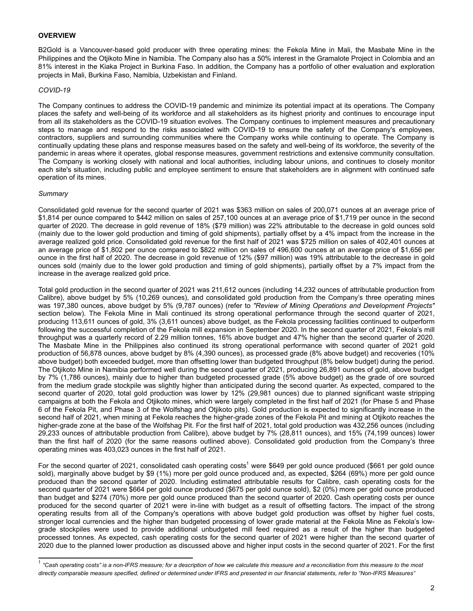## <span id="page-1-0"></span>**OVERVIEW**

B2Gold is a Vancouver-based gold producer with three operating mines: the Fekola Mine in Mali, the Masbate Mine in the Philippines and the Otjikoto Mine in Namibia. The Company also has a 50% interest in the Gramalote Project in Colombia and an 81% interest in the Kiaka Project in Burkina Faso. In addition, the Company has a portfolio of other evaluation and exploration projects in Mali, Burkina Faso, Namibia, Uzbekistan and Finland.

## *COVID-19*

The Company continues to address the COVID-19 pandemic and minimize its potential impact at its operations. The Company places the safety and well-being of its workforce and all stakeholders as its highest priority and continues to encourage input from all its stakeholders as the COVID-19 situation evolves. The Company continues to implement measures and precautionary steps to manage and respond to the risks associated with COVID-19 to ensure the safety of the Company's employees, contractors, suppliers and surrounding communities where the Company works while continuing to operate. The Company is continually updating these plans and response measures based on the safety and well-being of its workforce, the severity of the pandemic in areas where it operates, global response measures, government restrictions and extensive community consultation. The Company is working closely with national and local authorities, including labour unions, and continues to closely monitor each site's situation, including public and employee sentiment to ensure that stakeholders are in alignment with continued safe operation of its mines.

### *Summary*

Consolidated gold revenue for the second quarter of 2021 was \$363 million on sales of 200,071 ounces at an average price of \$1,814 per ounce compared to \$442 million on sales of 257,100 ounces at an average price of \$1,719 per ounce in the second quarter of 2020. The decrease in gold revenue of 18% (\$79 million) was 22% attributable to the decrease in gold ounces sold (mainly due to the lower gold production and timing of gold shipments), partially offset by a 4% impact from the increase in the average realized gold price. Consolidated gold revenue for the first half of 2021 was \$725 million on sales of 402,401 ounces at an average price of \$1,802 per ounce compared to \$822 million on sales of 496,600 ounces at an average price of \$1,656 per ounce in the first half of 2020. The decrease in gold revenue of 12% (\$97 million) was 19% attributable to the decrease in gold ounces sold (mainly due to the lower gold production and timing of gold shipments), partially offset by a 7% impact from the increase in the average realized gold price.

Total gold production in the second quarter of 2021 was 211,612 ounces (including 14,232 ounces of attributable production from Calibre), above budget by 5% (10,269 ounces), and consolidated gold production from the Company's three operating mines was 197,380 ounces, above budget by 5% (9,787 ounces) (refer to *"Review of Mining Operations and Development Projects"* section below). The Fekola Mine in Mali continued its strong operational performance through the second quarter of 2021, producing 113,611 ounces of gold, 3% (3,611 ounces) above budget, as the Fekola processing facilities continued to outperform following the successful completion of the Fekola mill expansion in September 2020. In the second quarter of 2021, Fekola's mill throughput was a quarterly record of 2.29 million tonnes, 16% above budget and 47% higher than the second quarter of 2020. The Masbate Mine in the Philippines also continued its strong operational performance with second quarter of 2021 gold production of 56,878 ounces, above budget by 8% (4,390 ounces), as processed grade (8% above budget) and recoveries (10% above budget) both exceeded budget, more than offsetting lower than budgeted throughput (8% below budget) during the period. The Otjikoto Mine in Namibia performed well during the second quarter of 2021, producing 26,891 ounces of gold, above budget by 7% (1,786 ounces), mainly due to higher than budgeted processed grade (5% above budget) as the grade of ore sourced from the medium grade stockpile was slightly higher than anticipated during the second quarter. As expected, compared to the second quarter of 2020, total gold production was lower by 12% (29,981 ounces) due to planned significant waste stripping campaigns at both the Fekola and Otjikoto mines, which were largely completed in the first half of 2021 (for Phase 5 and Phase 6 of the Fekola Pit, and Phase 3 of the Wolfshag and Otjikoto pits). Gold production is expected to significantly increase in the second half of 2021, when mining at Fekola reaches the higher-grade zones of the Fekola Pit and mining at Otjikoto reaches the higher-grade zone at the base of the Wolfshag Pit. For the first half of 2021, total gold production was 432,256 ounces (including 29,233 ounces of attributable production from Calibre), above budget by 7% (28,811 ounces), and 15% (74,199 ounces) lower than the first half of 2020 (for the same reasons outlined above). Consolidated gold production from the Company's three operating mines was 403,023 ounces in the first half of 2021.

For the second quarter of 2021, consolidated cash operating costs<sup>1</sup> were \$649 per gold ounce produced (\$661 per gold ounce sold), marginally above budget by \$9 (1%) more per gold ounce produced and, as expected, \$264 (69%) more per gold ounce produced than the second quarter of 2020. Including estimated attributable results for Calibre, cash operating costs for the second quarter of 2021 were \$664 per gold ounce produced (\$675 per gold ounce sold), \$2 (0%) more per gold ounce produced than budget and \$274 (70%) more per gold ounce produced than the second quarter of 2020. Cash operating costs per ounce produced for the second quarter of 2021 were in-line with budget as a result of offsetting factors. The impact of the strong operating results from all of the Company's operations with above budget gold production was offset by higher fuel costs, stronger local currencies and the higher than budgeted processing of lower grade material at the Fekola Mine as Fekola's lowgrade stockpiles were used to provide additional unbudgeted mill feed required as a result of the higher than budgeted processed tonnes. As expected, cash operating costs for the second quarter of 2021 were higher than the second quarter of 2020 due to the planned lower production as discussed above and higher input costs in the second quarter of 2021. For the first

<sup>1</sup> *"Cash operating costs" is a non-IFRS measure; for a description of how we calculate this measure and a reconciliation from this measure to the most directly comparable measure specified, defined or determined under IFRS and presented in our financial statements, refer to "Non-IFRS Measures"*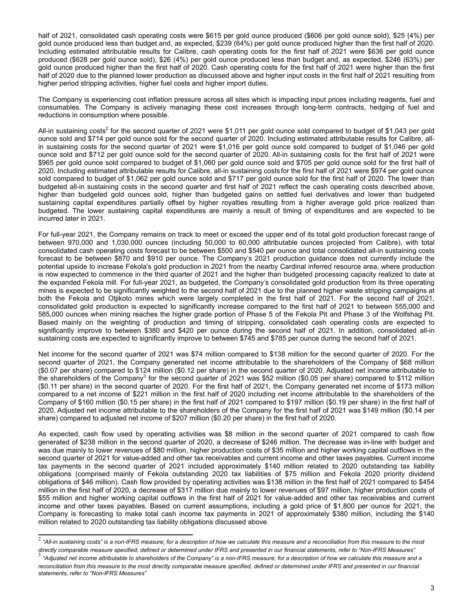half of 2021, consolidated cash operating costs were \$615 per gold ounce produced (\$606 per gold ounce sold), \$25 (4%) per gold ounce produced less than budget and, as expected, \$239 (64%) per gold ounce produced higher than the first half of 2020. Including estimated attributable results for Calibre, cash operating costs for the first half of 2021 were \$636 per gold ounce produced (\$628 per gold ounce sold), \$26 (4%) per gold ounce produced less than budget and, as expected, \$246 (63%) per gold ounce produced higher than the first half of 2020. Cash operating costs for the first half of 2021 were higher than the first half of 2020 due to the planned lower production as discussed above and higher input costs in the first half of 2021 resulting from higher period stripping activities, higher fuel costs and higher import duties.

The Company is experiencing cost inflation pressure across all sites which is impacting input prices including reagents, fuel and consumables. The Company is actively managing these cost increases through long-term contracts, hedging of fuel and reductions in consumption where possible.

All-in sustaining costs<sup>2</sup> for the second quarter of 2021 were \$1,011 per gold ounce sold compared to budget of \$1,043 per gold ounce sold and \$714 per gold ounce sold for the second quarter of 2020. Including estimated attributable results for Calibre, allin sustaining costs for the second quarter of 2021 were \$1,016 per gold ounce sold compared to budget of \$1,046 per gold ounce sold and \$712 per gold ounce sold for the second quarter of 2020. All-in sustaining costs for the first half of 2021 were \$965 per gold ounce sold compared to budget of \$1,060 per gold ounce sold and \$705 per gold ounce sold for the first half of 2020. Including estimated attributable results for Calibre, all-in sustaining costs for the first half of 2021 were \$974 per gold ounce sold compared to budget of \$1,062 per gold ounce sold and \$717 per gold ounce sold for the first half of 2020. The lower than budgeted all-in sustaining costs in the second quarter and first half of 2021 reflect the cash operating costs described above, higher than budgeted gold ounces sold, higher than budgeted gains on settled fuel derivatives and lower than budgeted sustaining capital expenditures partially offset by higher royalties resulting from a higher average gold price realized than budgeted. The lower sustaining capital expenditures are mainly a result of timing of expenditures and are expected to be incurred later in 2021.

For full-year 2021, the Company remains on track to meet or exceed the upper end of its total gold production forecast range of between 970,000 and 1,030,000 ounces (including 50,000 to 60,000 attributable ounces projected from Calibre), with total consolidated cash operating costs forecast to be between \$500 and \$540 per ounce and total consolidated all-in sustaining costs forecast to be between \$870 and \$910 per ounce. The Company's 2021 production guidance does not currently include the potential upside to increase Fekola's gold production in 2021 from the nearby Cardinal inferred resource area, where production is now expected to commence in the third quarter of 2021 and the higher than budgeted processing capacity realized to date at the expanded Fekola mill. For full-year 2021, as budgeted, the Company's consolidated gold production from its three operating mines is expected to be significantly weighted to the second half of 2021 due to the planned higher waste stripping campaigns at both the Fekola and Otjikoto mines which were largely completed in the first half of 2021. For the second half of 2021, consolidated gold production is expected to significantly increase compared to the first half of 2021 to between 555,000 and 585,000 ounces when mining reaches the higher grade portion of Phase 5 of the Fekola Pit and Phase 3 of the Wolfshag Pit. Based mainly on the weighting of production and timing of stripping, consolidated cash operating costs are expected to significantly improve to between \$380 and \$420 per ounce during the second half of 2021. In addition, consolidated all-in sustaining costs are expected to significantly improve to between \$745 and \$785 per ounce during the second half of 2021.

Net income for the second quarter of 2021 was \$74 million compared to \$138 million for the second quarter of 2020. For the second quarter of 2021, the Company generated net income attributable to the shareholders of the Company of \$68 million (\$0.07 per share) compared to \$124 million (\$0.12 per share) in the second quarter of 2020. Adjusted net income attributable to the shareholders of the Company<sup>3</sup> for the second quarter of 2021 was \$52 million (\$0.05 per share) compared to \$112 million (\$0.11 per share) in the second quarter of 2020. For the first half of 2021, the Company generated net income of \$173 million compared to a net income of \$221 million in the first half of 2020 including net income attributable to the shareholders of the Company of \$160 million (\$0.15 per share) in the first half of 2021 compared to \$197 million (\$0.19 per share) in the first half of 2020. Adjusted net income attributable to the shareholders of the Company for the first half of 2021 was \$149 million (\$0.14 per share) compared to adjusted net income of \$207 million (\$0.20 per share) in the first half of 2020.

As expected, cash flow used by operating activities was \$8 million in the second quarter of 2021 compared to cash flow generated of \$238 million in the second quarter of 2020, a decrease of \$246 million. The decrease was in-line with budget and was due mainly to lower revenues of \$80 million, higher production costs of \$35 million and higher working capital outflows in the second quarter of 2021 for value-added and other tax receivables and current income and other taxes payables. Current income tax payments in the second quarter of 2021 included approximately \$140 million related to 2020 outstanding tax liability obligations (comprised mainly of Fekola outstanding 2020 tax liabilities of \$75 million and Fekola 2020 priority dividend obligations of \$46 million). Cash flow provided by operating activities was \$138 million in the first half of 2021 compared to \$454 million in the first half of 2020, a decrease of \$317 million due mainly to lower revenues of \$97 million, higher production costs of \$55 million and higher working capital outflows in the first half of 2021 for value-added and other tax receivables and current income and other taxes payables. Based on current assumptions, including a gold price of \$1,800 per ounce for 2021, the Company is forecasting to make total cash income tax payments in 2021 of approximately \$380 million, including the \$140 million related to 2020 outstanding tax liability obligations discussed above.

<sup>2</sup> *"All-in sustaining costs" is a non-IFRS measure; for a description of how we calculate this measure and a reconciliation from this measure to the most directly comparable measure specified, defined or determined under IFRS and presented in our financial statements, refer to "Non-IFRS Measures"* 3 *"Adjusted net income attributable to shareholders of the Company" is a non-IFRS measure; for a description of how we calculate this measure and a* 

*reconciliation from this measure to the most directly comparable measure specified, defined or determined under IFRS and presented in our financial statements, refer to "Non-IFRS Measures"*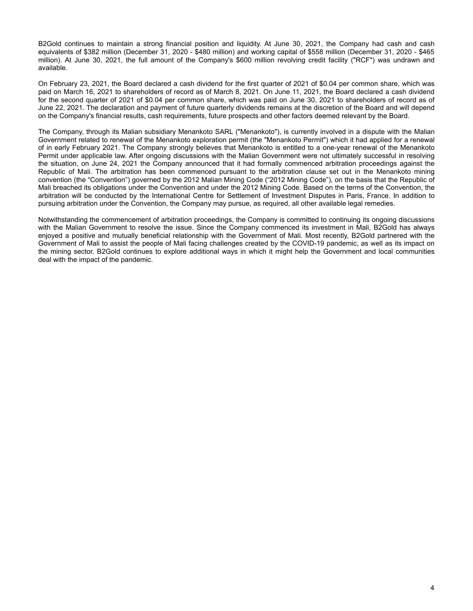B2Gold continues to maintain a strong financial position and liquidity. At June 30, 2021, the Company had cash and cash equivalents of \$382 million (December 31, 2020 - \$480 million) and working capital of \$558 million (December 31, 2020 - \$465 million). At June 30, 2021, the full amount of the Company's \$600 million revolving credit facility ("RCF") was undrawn and available.

On February 23, 2021, the Board declared a cash dividend for the first quarter of 2021 of \$0.04 per common share, which was paid on March 16, 2021 to shareholders of record as of March 8, 2021. On June 11, 2021, the Board declared a cash dividend for the second quarter of 2021 of \$0.04 per common share, which was paid on June 30, 2021 to shareholders of record as of June 22, 2021. The declaration and payment of future quarterly dividends remains at the discretion of the Board and will depend on the Company's financial results, cash requirements, future prospects and other factors deemed relevant by the Board.

The Company, through its Malian subsidiary Menankoto SARL ("Menankoto"), is currently involved in a dispute with the Malian Government related to renewal of the Menankoto exploration permit (the "Menankoto Permit") which it had applied for a renewal of in early February 2021. The Company strongly believes that Menankoto is entitled to a one-year renewal of the Menankoto Permit under applicable law. After ongoing discussions with the Malian Government were not ultimately successful in resolving the situation, on June 24, 2021 the Company announced that it had formally commenced arbitration proceedings against the Republic of Mali. The arbitration has been commenced pursuant to the arbitration clause set out in the Menankoto mining convention (the "Convention") governed by the 2012 Malian Mining Code ("2012 Mining Code"), on the basis that the Republic of Mali breached its obligations under the Convention and under the 2012 Mining Code. Based on the terms of the Convention, the arbitration will be conducted by the International Centre for Settlement of Investment Disputes in Paris, France. In addition to pursuing arbitration under the Convention, the Company may pursue, as required, all other available legal remedies.

Notwithstanding the commencement of arbitration proceedings, the Company is committed to continuing its ongoing discussions with the Malian Government to resolve the issue. Since the Company commenced its investment in Mali, B2Gold has always enjoyed a positive and mutually beneficial relationship with the Government of Mali. Most recently, B2Gold partnered with the Government of Mali to assist the people of Mali facing challenges created by the COVID-19 pandemic, as well as its impact on the mining sector. B2Gold continues to explore additional ways in which it might help the Government and local communities deal with the impact of the pandemic.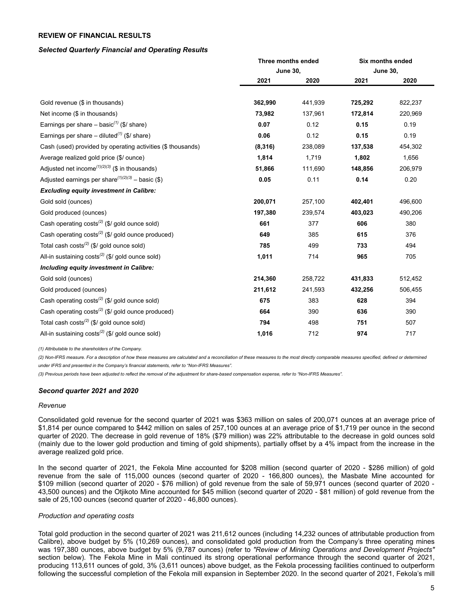## <span id="page-4-0"></span>**REVIEW OF FINANCIAL RESULTS**

### *Selected Quarterly Financial and Operating Results*

|                                                                         | Three months ended<br><b>June 30,</b> |         | Six months ended |         |
|-------------------------------------------------------------------------|---------------------------------------|---------|------------------|---------|
|                                                                         |                                       |         | <b>June 30,</b>  |         |
|                                                                         | 2021                                  | 2020    | 2021             | 2020    |
|                                                                         |                                       |         |                  |         |
| Gold revenue (\$ in thousands)                                          | 362,990                               | 441,939 | 725,292          | 822,237 |
| Net income (\$ in thousands)                                            | 73,982                                | 137,961 | 172,814          | 220,969 |
| Earnings per share – basic <sup>(1)</sup> (\$/ share)                   | 0.07                                  | 0.12    | 0.15             | 0.19    |
| Earnings per share – diluted <sup>(1)</sup> (\$/ share)                 | 0.06                                  | 0.12    | 0.15             | 0.19    |
| Cash (used) provided by operating activities (\$ thousands)             | (8,316)                               | 238,089 | 137,538          | 454,302 |
| Average realized gold price (\$/ ounce)                                 | 1,814                                 | 1,719   | 1,802            | 1,656   |
| Adjusted net income <sup><math>(1)(2)(3)</math></sup> (\$ in thousands) | 51,866                                | 111,690 | 148,856          | 206,979 |
| Adjusted earnings per share $(1)(2)(3)$ – basic (\$)                    | 0.05                                  | 0.11    | 0.14             | 0.20    |
| <b>Excluding equity investment in Calibre:</b>                          |                                       |         |                  |         |
| Gold sold (ounces)                                                      | 200,071                               | 257,100 | 402,401          | 496,600 |
| Gold produced (ounces)                                                  | 197,380                               | 239,574 | 403,023          | 490,206 |
| Cash operating $costs^{(2)}$ (\$/ gold ounce sold)                      | 661                                   | 377     | 606              | 380     |
| Cash operating $costs^{(2)}$ (\$/ gold ounce produced)                  | 649                                   | 385     | 615              | 376     |
| Total cash costs <sup>(2)</sup> (\$/ gold ounce sold)                   | 785                                   | 499     | 733              | 494     |
| All-in sustaining $costs^{(2)}$ (\$/ gold ounce sold)                   | 1,011                                 | 714     | 965              | 705     |
| Including equity investment in Calibre:                                 |                                       |         |                  |         |
| Gold sold (ounces)                                                      | 214,360                               | 258,722 | 431,833          | 512,452 |
| Gold produced (ounces)                                                  | 211,612                               | 241,593 | 432,256          | 506,455 |
| Cash operating costs <sup>(2)</sup> (\$/ gold ounce sold)               | 675                                   | 383     | 628              | 394     |
| Cash operating $costs^{(2)}$ (\$/ gold ounce produced)                  | 664                                   | 390     | 636              | 390     |
| Total cash costs <sup>(2)</sup> ( $\sqrt[6]{ }$ gold ounce sold)        | 794                                   | 498     | 751              | 507     |
| All-in sustaining costs <sup>(2)</sup> (\$/ gold ounce sold)            | 1,016                                 | 712     | 974              | 717     |

*(1) Attributable to the shareholders of the Company.*

*(2) Non-IFRS measure. For a description of how these measures are calculated and a reconciliation of these measures to the most directly comparable measures specified, defined or determined under IFRS and presented in the Company's financial statements, refer to "Non-IFRS Measures".*

*(3) Previous periods have been adjusted to reflect the removal of the adjustment for share-based compensation expense, refer to "Non-IFRS Measures".*

### *Second quarter 2021 and 2020*

### *Revenue*

Consolidated gold revenue for the second quarter of 2021 was \$363 million on sales of 200,071 ounces at an average price of \$1,814 per ounce compared to \$442 million on sales of 257,100 ounces at an average price of \$1,719 per ounce in the second quarter of 2020. The decrease in gold revenue of 18% (\$79 million) was 22% attributable to the decrease in gold ounces sold (mainly due to the lower gold production and timing of gold shipments), partially offset by a 4% impact from the increase in the average realized gold price.

In the second quarter of 2021, the Fekola Mine accounted for \$208 million (second quarter of 2020 - \$286 million) of gold revenue from the sale of 115,000 ounces (second quarter of 2020 - 166,800 ounces), the Masbate Mine accounted for \$109 million (second quarter of 2020 - \$76 million) of gold revenue from the sale of 59,971 ounces (second quarter of 2020 - 43,500 ounces) and the Otjikoto Mine accounted for \$45 million (second quarter of 2020 - \$81 million) of gold revenue from the sale of 25,100 ounces (second quarter of 2020 - 46,800 ounces).

### *Production and operating costs*

Total gold production in the second quarter of 2021 was 211,612 ounces (including 14,232 ounces of attributable production from Calibre), above budget by 5% (10,269 ounces), and consolidated gold production from the Company's three operating mines was 197,380 ounces, above budget by 5% (9,787 ounces) (refer to *"Review of Mining Operations and Development Projects"* section below). The Fekola Mine in Mali continued its strong operational performance through the second quarter of 2021, producing 113,611 ounces of gold, 3% (3,611 ounces) above budget, as the Fekola processing facilities continued to outperform following the successful completion of the Fekola mill expansion in September 2020. In the second quarter of 2021, Fekola's mill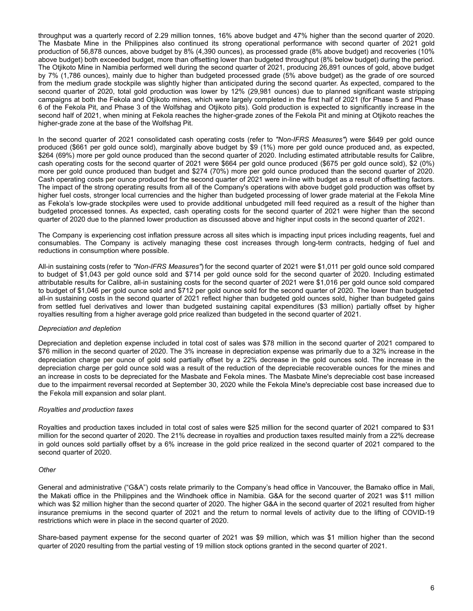throughput was a quarterly record of 2.29 million tonnes, 16% above budget and 47% higher than the second quarter of 2020. The Masbate Mine in the Philippines also continued its strong operational performance with second quarter of 2021 gold production of 56,878 ounces, above budget by 8% (4,390 ounces), as processed grade (8% above budget) and recoveries (10% above budget) both exceeded budget, more than offsetting lower than budgeted throughput (8% below budget) during the period. The Otjikoto Mine in Namibia performed well during the second quarter of 2021, producing 26,891 ounces of gold, above budget by 7% (1,786 ounces), mainly due to higher than budgeted processed grade (5% above budget) as the grade of ore sourced from the medium grade stockpile was slightly higher than anticipated during the second quarter. As expected, compared to the second quarter of 2020, total gold production was lower by 12% (29,981 ounces) due to planned significant waste stripping campaigns at both the Fekola and Otjikoto mines, which were largely completed in the first half of 2021 (for Phase 5 and Phase 6 of the Fekola Pit, and Phase 3 of the Wolfshag and Otjikoto pits). Gold production is expected to significantly increase in the second half of 2021, when mining at Fekola reaches the higher-grade zones of the Fekola Pit and mining at Otjikoto reaches the higher-grade zone at the base of the Wolfshag Pit.

In the second quarter of 2021 consolidated cash operating costs (refer to *"Non-IFRS Measures"*) were \$649 per gold ounce produced (\$661 per gold ounce sold), marginally above budget by \$9 (1%) more per gold ounce produced and, as expected, \$264 (69%) more per gold ounce produced than the second quarter of 2020. Including estimated attributable results for Calibre, cash operating costs for the second quarter of 2021 were \$664 per gold ounce produced (\$675 per gold ounce sold), \$2 (0%) more per gold ounce produced than budget and \$274 (70%) more per gold ounce produced than the second quarter of 2020. Cash operating costs per ounce produced for the second quarter of 2021 were in-line with budget as a result of offsetting factors. The impact of the strong operating results from all of the Company's operations with above budget gold production was offset by higher fuel costs, stronger local currencies and the higher than budgeted processing of lower grade material at the Fekola Mine as Fekola's low-grade stockpiles were used to provide additional unbudgeted mill feed required as a result of the higher than budgeted processed tonnes. As expected, cash operating costs for the second quarter of 2021 were higher than the second quarter of 2020 due to the planned lower production as discussed above and higher input costs in the second quarter of 2021.

The Company is experiencing cost inflation pressure across all sites which is impacting input prices including reagents, fuel and consumables. The Company is actively managing these cost increases through long-term contracts, hedging of fuel and reductions in consumption where possible.

All-in sustaining costs (refer to *"Non-IFRS Measures"*) for the second quarter of 2021 were \$1,011 per gold ounce sold compared to budget of \$1,043 per gold ounce sold and \$714 per gold ounce sold for the second quarter of 2020. Including estimated attributable results for Calibre, all-in sustaining costs for the second quarter of 2021 were \$1,016 per gold ounce sold compared to budget of \$1,046 per gold ounce sold and \$712 per gold ounce sold for the second quarter of 2020. The lower than budgeted all-in sustaining costs in the second quarter of 2021 reflect higher than budgeted gold ounces sold, higher than budgeted gains from settled fuel derivatives and lower than budgeted sustaining capital expenditures (\$3 million) partially offset by higher royalties resulting from a higher average gold price realized than budgeted in the second quarter of 2021.

## *Depreciation and depletion*

Depreciation and depletion expense included in total cost of sales was \$78 million in the second quarter of 2021 compared to \$76 million in the second quarter of 2020. The 3% increase in depreciation expense was primarily due to a 32% increase in the depreciation charge per ounce of gold sold partially offset by a 22% decrease in the gold ounces sold. The increase in the depreciation charge per gold ounce sold was a result of the reduction of the depreciable recoverable ounces for the mines and an increase in costs to be depreciated for the Masbate and Fekola mines. The Masbate Mine's depreciable cost base increased due to the impairment reversal recorded at September 30, 2020 while the Fekola Mine's depreciable cost base increased due to the Fekola mill expansion and solar plant.

## *Royalties and production taxes*

Royalties and production taxes included in total cost of sales were \$25 million for the second quarter of 2021 compared to \$31 million for the second quarter of 2020. The 21% decrease in royalties and production taxes resulted mainly from a 22% decrease in gold ounces sold partially offset by a 6% increase in the gold price realized in the second quarter of 2021 compared to the second quarter of 2020.

### *Other*

General and administrative ("G&A") costs relate primarily to the Company's head office in Vancouver, the Bamako office in Mali, the Makati office in the Philippines and the Windhoek office in Namibia. G&A for the second quarter of 2021 was \$11 million which was \$2 million higher than the second quarter of 2020. The higher G&A in the second quarter of 2021 resulted from higher insurance premiums in the second quarter of 2021 and the return to normal levels of activity due to the lifting of COVID-19 restrictions which were in place in the second quarter of 2020.

Share-based payment expense for the second quarter of 2021 was \$9 million, which was \$1 million higher than the second quarter of 2020 resulting from the partial vesting of 19 million stock options granted in the second quarter of 2021.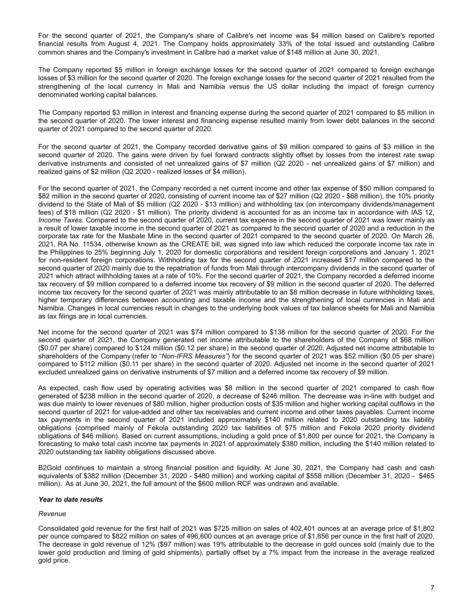For the second quarter of 2021, the Company's share of Calibre's net income was \$4 million based on Calibre's reported financial results from August 4, 2021. The Company holds approximately 33% of the total issued and outstanding Calibre common shares and the Company's investment in Calibre had a market value of \$148 million at June 30, 2021.

The Company reported \$5 million in foreign exchange losses for the second quarter of 2021 compared to foreign exchange losses of \$3 million for the second quarter of 2020. The foreign exchange losses for the second quarter of 2021 resulted from the strengthening of the local currency in Mali and Namibia versus the US dollar including the impact of foreign currency denominated working capital balances.

The Company reported \$3 million in interest and financing expense during the second quarter of 2021 compared to \$5 million in the second quarter of 2020. The lower interest and financing expense resulted mainly from lower debt balances in the second quarter of 2021 compared to the second quarter of 2020.

For the second quarter of 2021, the Company recorded derivative gains of \$9 million compared to gains of \$3 million in the second quarter of 2020. The gains were driven by fuel forward contracts slightly offset by losses from the interest rate swap derivative instruments and consisted of net unrealized gains of \$7 million (Q2 2020 - net unrealized gains of \$7 million) and realized gains of \$2 million (Q2 2020 - realized losses of \$4 million).

For the second quarter of 2021, the Company recorded a net current income and other tax expense of \$50 million compared to \$82 million in the second quarter of 2020, consisting of current income tax of \$27 million (Q2 2020 - \$68 million), the 10% priority dividend to the State of Mali of \$5 million (Q2 2020 - \$13 million) and withholding tax (on intercompany dividends/management fees) of \$18 million (Q2 2020 - \$1 million). The priority dividend is accounted for as an income tax in accordance with IAS 12, *Income Taxes.* Compared to the second quarter of 2020, current tax expense in the second quarter of 2021 was lower mainly as a result of lower taxable income in the second quarter of 2021 as compared to the second quarter of 2020 and a reduction in the corporate tax rate for the Masbate Mine in the second quarter of 2021 compared to the second quarter of 2020. On March 26, 2021, RA No. 11534, otherwise known as the CREATE bill, was signed into law which reduced the corporate income tax rate in the Philippines to 25% beginning July 1, 2020 for domestic corporations and resident foreign corporations and January 1, 2021 for non-resident foreign corporations. Withholding tax for the second quarter of 2021 increased \$17 million compared to the second quarter of 2020 mainly due to the repatriation of funds from Mali through intercompany dividends in the second quarter of 2021 which attract withholding taxes at a rate of 10%. For the second quarter of 2021, the Company recorded a deferred income tax recovery of \$9 million compared to a deferred income tax recovery of \$9 million in the second quarter of 2020. The deferred income tax recovery for the second quarter of 2021 was mainly attributable to an \$8 million decrease in future withholding taxes, higher temporary differences between accounting and taxable income and the strengthening of local currencies in Mali and Namibia. Changes in local currencies result in changes to the underlying book values of tax balance sheets for Mali and Namibia as tax filings are in local currencies.

Net income for the second quarter of 2021 was \$74 million compared to \$138 million for the second quarter of 2020. For the second quarter of 2021, the Company generated net income attributable to the shareholders of the Company of \$68 million (\$0.07 per share) compared to \$124 million (\$0.12 per share) in the second quarter of 2020. Adjusted net income attributable to shareholders of the Company (refer to "*Non-IFRS Measures"*) for the second quarter of 2021 was \$52 million (\$0.05 per share) compared to \$112 million (\$0.11 per share) in the second quarter of 2020. Adjusted net income in the second quarter of 2021 excluded unrealized gains on derivative instruments of \$7 million and a deferred income tax recovery of \$9 million.

As expected, cash flow used by operating activities was \$8 million in the second quarter of 2021 compared to cash flow generated of \$238 million in the second quarter of 2020, a decrease of \$246 million. The decrease was in-line with budget and was due mainly to lower revenues of \$80 million, higher production costs of \$35 million and higher working capital outflows in the second quarter of 2021 for value-added and other tax receivables and current income and other taxes payables. Current income tax payments in the second quarter of 2021 included approximately \$140 million related to 2020 outstanding tax liability obligations (comprised mainly of Fekola outstanding 2020 tax liabilities of \$75 million and Fekola 2020 priority dividend obligations of \$46 million). Based on current assumptions, including a gold price of \$1,800 per ounce for 2021, the Company is forecasting to make total cash income tax payments in 2021 of approximately \$380 million, including the \$140 million related to 2020 outstanding tax liability obligations discussed above.

B2Gold continues to maintain a strong financial position and liquidity. At June 30, 2021, the Company had cash and cash equivalents of \$382 million (December 31, 2020 - \$480 million) and working capital of \$558 million (December 31, 2020 - \$465 million). As at June 30, 2021, the full amount of the \$600 million RCF was undrawn and available.

## *Year to date results*

# *Revenue*

Consolidated gold revenue for the first half of 2021 was \$725 million on sales of 402,401 ounces at an average price of \$1,802 per ounce compared to \$822 million on sales of 496,600 ounces at an average price of \$1,656 per ounce in the first half of 2020. The decrease in gold revenue of 12% (\$97 million) was 19% attributable to the decrease in gold ounces sold (mainly due to the lower gold production and timing of gold shipments), partially offset by a 7% impact from the increase in the average realized gold price.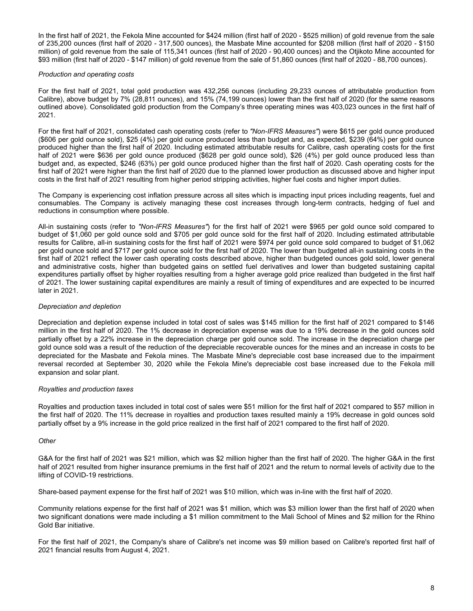In the first half of 2021, the Fekola Mine accounted for \$424 million (first half of 2020 - \$525 million) of gold revenue from the sale of 235,200 ounces (first half of 2020 - 317,500 ounces), the Masbate Mine accounted for \$208 million (first half of 2020 - \$150 million) of gold revenue from the sale of 115,341 ounces (first half of 2020 - 90,400 ounces) and the Otjikoto Mine accounted for \$93 million (first half of 2020 - \$147 million) of gold revenue from the sale of 51,860 ounces (first half of 2020 - 88,700 ounces).

## *Production and operating costs*

For the first half of 2021, total gold production was 432,256 ounces (including 29,233 ounces of attributable production from Calibre), above budget by 7% (28,811 ounces), and 15% (74,199 ounces) lower than the first half of 2020 (for the same reasons outlined above). Consolidated gold production from the Company's three operating mines was 403,023 ounces in the first half of 2021.

For the first half of 2021, consolidated cash operating costs (refer to *"Non-IFRS Measures"*) were \$615 per gold ounce produced (\$606 per gold ounce sold), \$25 (4%) per gold ounce produced less than budget and, as expected, \$239 (64%) per gold ounce produced higher than the first half of 2020. Including estimated attributable results for Calibre, cash operating costs for the first half of 2021 were \$636 per gold ounce produced (\$628 per gold ounce sold), \$26 (4%) per gold ounce produced less than budget and, as expected, \$246 (63%) per gold ounce produced higher than the first half of 2020. Cash operating costs for the first half of 2021 were higher than the first half of 2020 due to the planned lower production as discussed above and higher input costs in the first half of 2021 resulting from higher period stripping activities, higher fuel costs and higher import duties.

The Company is experiencing cost inflation pressure across all sites which is impacting input prices including reagents, fuel and consumables. The Company is actively managing these cost increases through long-term contracts, hedging of fuel and reductions in consumption where possible.

All-in sustaining costs (refer to *"Non-IFRS Measures"*) for the first half of 2021 were \$965 per gold ounce sold compared to budget of \$1,060 per gold ounce sold and \$705 per gold ounce sold for the first half of 2020. Including estimated attributable results for Calibre, all-in sustaining costs for the first half of 2021 were \$974 per gold ounce sold compared to budget of \$1,062 per gold ounce sold and \$717 per gold ounce sold for the first half of 2020. The lower than budgeted all-in sustaining costs in the first half of 2021 reflect the lower cash operating costs described above, higher than budgeted ounces gold sold, lower general and administrative costs, higher than budgeted gains on settled fuel derivatives and lower than budgeted sustaining capital expenditures partially offset by higher royalties resulting from a higher average gold price realized than budgeted in the first half of 2021. The lower sustaining capital expenditures are mainly a result of timing of expenditures and are expected to be incurred later in 2021.

## *Depreciation and depletion*

Depreciation and depletion expense included in total cost of sales was \$145 million for the first half of 2021 compared to \$146 million in the first half of 2020. The 1% decrease in depreciation expense was due to a 19% decrease in the gold ounces sold partially offset by a 22% increase in the depreciation charge per gold ounce sold. The increase in the depreciation charge per gold ounce sold was a result of the reduction of the depreciable recoverable ounces for the mines and an increase in costs to be depreciated for the Masbate and Fekola mines. The Masbate Mine's depreciable cost base increased due to the impairment reversal recorded at September 30, 2020 while the Fekola Mine's depreciable cost base increased due to the Fekola mill expansion and solar plant.

## *Royalties and production taxes*

Royalties and production taxes included in total cost of sales were \$51 million for the first half of 2021 compared to \$57 million in the first half of 2020. The 11% decrease in royalties and production taxes resulted mainly a 19% decrease in gold ounces sold partially offset by a 9% increase in the gold price realized in the first half of 2021 compared to the first half of 2020.

## *Other*

G&A for the first half of 2021 was \$21 million, which was \$2 million higher than the first half of 2020. The higher G&A in the first half of 2021 resulted from higher insurance premiums in the first half of 2021 and the return to normal levels of activity due to the lifting of COVID-19 restrictions.

Share-based payment expense for the first half of 2021 was \$10 million, which was in-line with the first half of 2020.

Community relations expense for the first half of 2021 was \$1 million, which was \$3 million lower than the first half of 2020 when two significant donations were made including a \$1 million commitment to the Mali School of Mines and \$2 million for the Rhino Gold Bar initiative.

For the first half of 2021, the Company's share of Calibre's net income was \$9 million based on Calibre's reported first half of 2021 financial results from August 4, 2021.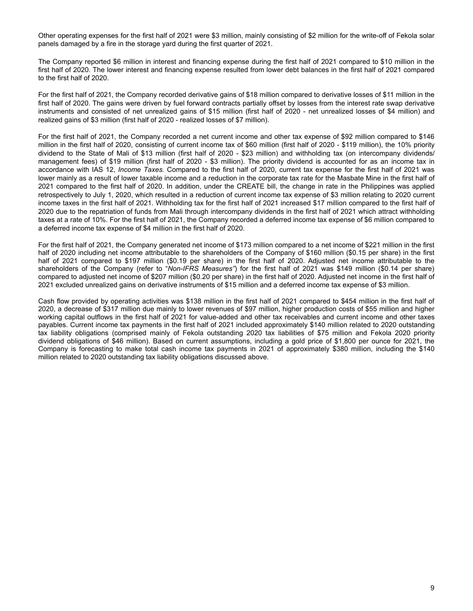Other operating expenses for the first half of 2021 were \$3 million, mainly consisting of \$2 million for the write-off of Fekola solar panels damaged by a fire in the storage yard during the first quarter of 2021.

The Company reported \$6 million in interest and financing expense during the first half of 2021 compared to \$10 million in the first half of 2020. The lower interest and financing expense resulted from lower debt balances in the first half of 2021 compared to the first half of 2020.

For the first half of 2021, the Company recorded derivative gains of \$18 million compared to derivative losses of \$11 million in the first half of 2020. The gains were driven by fuel forward contracts partially offset by losses from the interest rate swap derivative instruments and consisted of net unrealized gains of \$15 million (first half of 2020 - net unrealized losses of \$4 million) and realized gains of \$3 million (first half of 2020 - realized losses of \$7 million).

For the first half of 2021, the Company recorded a net current income and other tax expense of \$92 million compared to \$146 million in the first half of 2020, consisting of current income tax of \$60 million (first half of 2020 - \$119 million), the 10% priority dividend to the State of Mali of \$13 million (first half of 2020 - \$23 million) and withholding tax (on intercompany dividends/ management fees) of \$19 million (first half of 2020 - \$3 million). The priority dividend is accounted for as an income tax in accordance with IAS 12, *Income Taxes.* Compared to the first half of 2020, current tax expense for the first half of 2021 was lower mainly as a result of lower taxable income and a reduction in the corporate tax rate for the Masbate Mine in the first half of 2021 compared to the first half of 2020. In addition, under the CREATE bill, the change in rate in the Philippines was applied retrospectively to July 1, 2020, which resulted in a reduction of current income tax expense of \$3 million relating to 2020 current income taxes in the first half of 2021. Withholding tax for the first half of 2021 increased \$17 million compared to the first half of 2020 due to the repatriation of funds from Mali through intercompany dividends in the first half of 2021 which attract withholding taxes at a rate of 10%. For the first half of 2021, the Company recorded a deferred income tax expense of \$6 million compared to a deferred income tax expense of \$4 million in the first half of 2020.

For the first half of 2021, the Company generated net income of \$173 million compared to a net income of \$221 million in the first half of 2020 including net income attributable to the shareholders of the Company of \$160 million (\$0.15 per share) in the first half of 2021 compared to \$197 million (\$0.19 per share) in the first half of 2020. Adjusted net income attributable to the shareholders of the Company (refer to "*Non-IFRS Measures"*) for the first half of 2021 was \$149 million (\$0.14 per share) compared to adjusted net income of \$207 million (\$0.20 per share) in the first half of 2020. Adjusted net income in the first half of 2021 excluded unrealized gains on derivative instruments of \$15 million and a deferred income tax expense of \$3 million.

Cash flow provided by operating activities was \$138 million in the first half of 2021 compared to \$454 million in the first half of 2020, a decrease of \$317 million due mainly to lower revenues of \$97 million, higher production costs of \$55 million and higher working capital outflows in the first half of 2021 for value-added and other tax receivables and current income and other taxes payables. Current income tax payments in the first half of 2021 included approximately \$140 million related to 2020 outstanding tax liability obligations (comprised mainly of Fekola outstanding 2020 tax liabilities of \$75 million and Fekola 2020 priority dividend obligations of \$46 million). Based on current assumptions, including a gold price of \$1,800 per ounce for 2021, the Company is forecasting to make total cash income tax payments in 2021 of approximately \$380 million, including the \$140 million related to 2020 outstanding tax liability obligations discussed above.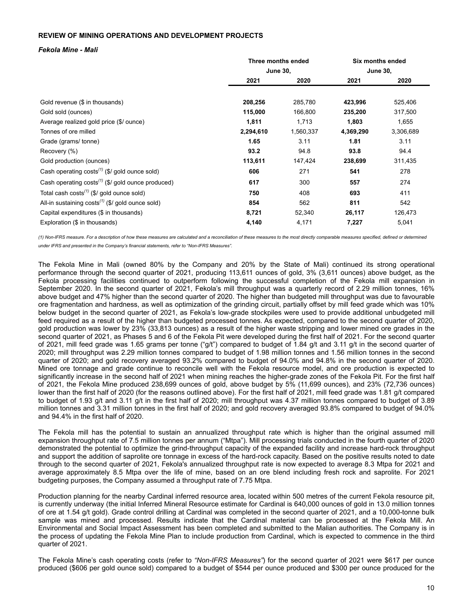## <span id="page-9-0"></span>**REVIEW OF MINING OPERATIONS AND DEVELOPMENT PROJECTS**

### *Fekola Mine - Mali*

|                                                                    | Three months ended |           | Six months ended |           |
|--------------------------------------------------------------------|--------------------|-----------|------------------|-----------|
|                                                                    | <b>June 30,</b>    |           | <b>June 30,</b>  |           |
|                                                                    | 2021               | 2020      | 2021             | 2020      |
|                                                                    |                    |           |                  |           |
| Gold revenue (\$ in thousands)                                     | 208,256            | 285,780   | 423,996          | 525,406   |
| Gold sold (ounces)                                                 | 115,000            | 166,800   | 235,200          | 317,500   |
| Average realized gold price (\$/ ounce)                            | 1,811              | 1,713     | 1,803            | 1,655     |
| Tonnes of ore milled                                               | 2,294,610          | 1,560,337 | 4,369,290        | 3,306,689 |
| Grade (grams/ tonne)                                               | 1.65               | 3.11      | 1.81             | 3.11      |
| Recovery (%)                                                       | 93.2               | 94.8      | 93.8             | 94.4      |
| Gold production (ounces)                                           | 113,611            | 147,424   | 238,699          | 311,435   |
| Cash operating $costs^{(1)}$ (\$/ gold ounce sold)                 | 606                | 271       | 541              | 278       |
| Cash operating $costs^{(1)}$ (\$/ gold ounce produced)             | 617                | 300       | 557              | 274       |
| Total cash costs <sup><math>(1)</math></sup> (\$/ gold ounce sold) | 750                | 408       | 693              | 411       |
| All-in sustaining $costs^{(1)}$ (\$/ gold ounce sold)              | 854                | 562       | 811              | 542       |
| Capital expenditures (\$ in thousands)                             | 8,721              | 52,340    | 26,117           | 126,473   |
| Exploration (\$ in thousands)                                      | 4,140              | 4,171     | 7,227            | 5,041     |

*(1) Non-IFRS measure. For a description of how these measures are calculated and a reconciliation of these measures to the most directly comparable measures specified, defined or determined under IFRS and presented in the Company's financial statements, refer to "Non-IFRS Measures".*

The Fekola Mine in Mali (owned 80% by the Company and 20% by the State of Mali) continued its strong operational performance through the second quarter of 2021, producing 113,611 ounces of gold, 3% (3,611 ounces) above budget, as the Fekola processing facilities continued to outperform following the successful completion of the Fekola mill expansion in September 2020. In the second quarter of 2021, Fekola's mill throughput was a quarterly record of 2.29 million tonnes, 16% above budget and 47% higher than the second quarter of 2020. The higher than budgeted mill throughput was due to favourable ore fragmentation and hardness, as well as optimization of the grinding circuit, partially offset by mill feed grade which was 10% below budget in the second quarter of 2021, as Fekola's low-grade stockpiles were used to provide additional unbudgeted mill feed required as a result of the higher than budgeted processed tonnes. As expected, compared to the second quarter of 2020, gold production was lower by 23% (33,813 ounces) as a result of the higher waste stripping and lower mined ore grades in the second quarter of 2021, as Phases 5 and 6 of the Fekola Pit were developed during the first half of 2021. For the second quarter of 2021, mill feed grade was 1.65 grams per tonne ("g/t") compared to budget of 1.84 g/t and 3.11 g/t in the second quarter of 2020; mill throughput was 2.29 million tonnes compared to budget of 1.98 million tonnes and 1.56 million tonnes in the second quarter of 2020; and gold recovery averaged 93.2% compared to budget of 94.0% and 94.8% in the second quarter of 2020. Mined ore tonnage and grade continue to reconcile well with the Fekola resource model, and ore production is expected to significantly increase in the second half of 2021 when mining reaches the higher-grade zones of the Fekola Pit. For the first half of 2021, the Fekola Mine produced 238,699 ounces of gold, above budget by 5% (11,699 ounces), and 23% (72,736 ounces) lower than the first half of 2020 (for the reasons outlined above). For the first half of 2021, mill feed grade was 1.81 g/t compared to budget of 1.93 g/t and 3.11 g/t in the first half of 2020; mill throughput was 4.37 million tonnes compared to budget of 3.89 million tonnes and 3.31 million tonnes in the first half of 2020; and gold recovery averaged 93.8% compared to budget of 94.0% and 94.4% in the first half of 2020.

The Fekola mill has the potential to sustain an annualized throughput rate which is higher than the original assumed mill expansion throughput rate of 7.5 million tonnes per annum ("Mtpa"). Mill processing trials conducted in the fourth quarter of 2020 demonstrated the potential to optimize the grind-throughput capacity of the expanded facility and increase hard-rock throughput and support the addition of saprolite ore tonnage in excess of the hard-rock capacity. Based on the positive results noted to date through to the second quarter of 2021, Fekola's annualized throughput rate is now expected to average 8.3 Mtpa for 2021 and average approximately 8.5 Mtpa over the life of mine, based on an ore blend including fresh rock and saprolite. For 2021 budgeting purposes, the Company assumed a throughput rate of 7.75 Mtpa.

Production planning for the nearby Cardinal inferred resource area, located within 500 metres of the current Fekola resource pit, is currently underway (the initial Inferred Mineral Resource estimate for Cardinal is 640,000 ounces of gold in 13.0 million tonnes of ore at 1.54 g/t gold). Grade control drilling at Cardinal was completed in the second quarter of 2021, and a 10,000-tonne bulk sample was mined and processed. Results indicate that the Cardinal material can be processed at the Fekola Mill. An Environmental and Social Impact Assessment has been completed and submitted to the Malian authorities. The Company is in the process of updating the Fekola Mine Plan to include production from Cardinal, which is expected to commence in the third quarter of 2021.

The Fekola Mine's cash operating costs (refer to *"Non-IFRS Measures"*) for the second quarter of 2021 were \$617 per ounce produced (\$606 per gold ounce sold) compared to a budget of \$544 per ounce produced and \$300 per ounce produced for the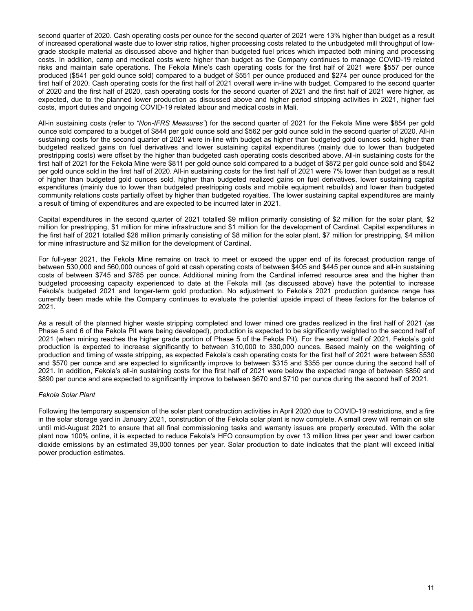second quarter of 2020. Cash operating costs per ounce for the second quarter of 2021 were 13% higher than budget as a result of increased operational waste due to lower strip ratios, higher processing costs related to the unbudgeted mill throughput of lowgrade stockpile material as discussed above and higher than budgeted fuel prices which impacted both mining and processing costs. In addition, camp and medical costs were higher than budget as the Company continues to manage COVID-19 related risks and maintain safe operations. The Fekola Mine's cash operating costs for the first half of 2021 were \$557 per ounce produced (\$541 per gold ounce sold) compared to a budget of \$551 per ounce produced and \$274 per ounce produced for the first half of 2020. Cash operating costs for the first half of 2021 overall were in-line with budget. Compared to the second quarter of 2020 and the first half of 2020, cash operating costs for the second quarter of 2021 and the first half of 2021 were higher, as expected, due to the planned lower production as discussed above and higher period stripping activities in 2021, higher fuel costs, import duties and ongoing COVID-19 related labour and medical costs in Mali.

All-in sustaining costs (refer to *"Non-IFRS Measures"*) for the second quarter of 2021 for the Fekola Mine were \$854 per gold ounce sold compared to a budget of \$844 per gold ounce sold and \$562 per gold ounce sold in the second quarter of 2020. All-in sustaining costs for the second quarter of 2021 were in-line with budget as higher than budgeted gold ounces sold, higher than budgeted realized gains on fuel derivatives and lower sustaining capital expenditures (mainly due to lower than budgeted prestripping costs) were offset by the higher than budgeted cash operating costs described above. All-in sustaining costs for the first half of 2021 for the Fekola Mine were \$811 per gold ounce sold compared to a budget of \$872 per gold ounce sold and \$542 per gold ounce sold in the first half of 2020. All-in sustaining costs for the first half of 2021 were 7% lower than budget as a result of higher than budgeted gold ounces sold, higher than budgeted realized gains on fuel derivatives, lower sustaining capital expenditures (mainly due to lower than budgeted prestripping costs and mobile equipment rebuilds) and lower than budgeted community relations costs partially offset by higher than budgeted royalties. The lower sustaining capital expenditures are mainly a result of timing of expenditures and are expected to be incurred later in 2021.

Capital expenditures in the second quarter of 2021 totalled \$9 million primarily consisting of \$2 million for the solar plant, \$2 million for prestripping, \$1 million for mine infrastructure and \$1 million for the development of Cardinal. Capital expenditures in the first half of 2021 totalled \$26 million primarily consisting of \$8 million for the solar plant, \$7 million for prestripping, \$4 million for mine infrastructure and \$2 million for the development of Cardinal.

For full-year 2021, the Fekola Mine remains on track to meet or exceed the upper end of its forecast production range of between 530,000 and 560,000 ounces of gold at cash operating costs of between \$405 and \$445 per ounce and all-in sustaining costs of between \$745 and \$785 per ounce. Additional mining from the Cardinal inferred resource area and the higher than budgeted processing capacity experienced to date at the Fekola mill (as discussed above) have the potential to increase Fekola's budgeted 2021 and longer-term gold production. No adjustment to Fekola's 2021 production guidance range has currently been made while the Company continues to evaluate the potential upside impact of these factors for the balance of 2021.

As a result of the planned higher waste stripping completed and lower mined ore grades realized in the first half of 2021 (as Phase 5 and 6 of the Fekola Pit were being developed), production is expected to be significantly weighted to the second half of 2021 (when mining reaches the higher grade portion of Phase 5 of the Fekola Pit). For the second half of 2021, Fekola's gold production is expected to increase significantly to between 310,000 to 330,000 ounces. Based mainly on the weighting of production and timing of waste stripping, as expected Fekola's cash operating costs for the first half of 2021 were between \$530 and \$570 per ounce and are expected to significantly improve to between \$315 and \$355 per ounce during the second half of 2021. In addition, Fekola's all-in sustaining costs for the first half of 2021 were below the expected range of between \$850 and \$890 per ounce and are expected to significantly improve to between \$670 and \$710 per ounce during the second half of 2021.

## *Fekola Solar Plant*

Following the temporary suspension of the solar plant construction activities in April 2020 due to COVID-19 restrictions, and a fire in the solar storage yard in January 2021, construction of the Fekola solar plant is now complete. A small crew will remain on site until mid-August 2021 to ensure that all final commissioning tasks and warranty issues are properly executed. With the solar plant now 100% online, it is expected to reduce Fekola's HFO consumption by over 13 million litres per year and lower carbon dioxide emissions by an estimated 39,000 tonnes per year. Solar production to date indicates that the plant will exceed initial power production estimates.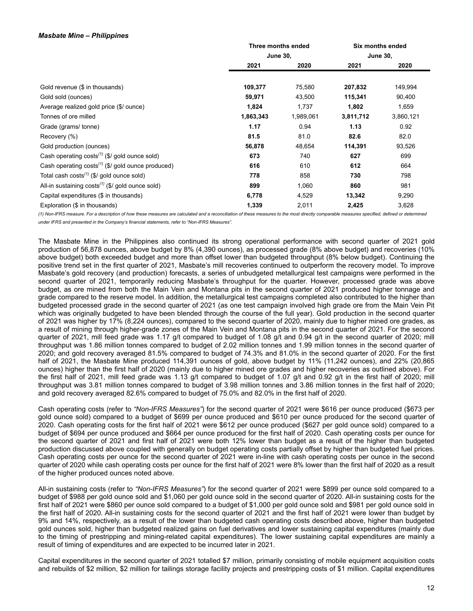## *Masbate Mine – Philippines*

|                                                               | Three months ended |           | Six months ended |           |
|---------------------------------------------------------------|--------------------|-----------|------------------|-----------|
|                                                               | <b>June 30,</b>    |           | <b>June 30,</b>  |           |
|                                                               | 2021               | 2020      | 2021             | 2020      |
|                                                               |                    |           |                  |           |
| Gold revenue (\$ in thousands)                                | 109,377            | 75,580    | 207,832          | 149,994   |
| Gold sold (ounces)                                            | 59,971             | 43,500    | 115,341          | 90,400    |
| Average realized gold price (\$/ ounce)                       | 1,824              | 1,737     | 1,802            | 1,659     |
| Tonnes of ore milled                                          | 1,863,343          | 1,989,061 | 3,811,712        | 3,860,121 |
| Grade (grams/ tonne)                                          | 1.17               | 0.94      | 1.13             | 0.92      |
| Recovery (%)                                                  | 81.5               | 81.0      | 82.6             | 82.0      |
| Gold production (ounces)                                      | 56,878             | 48,654    | 114,391          | 93,526    |
| Cash operating $costs^{(1)}$ (\$/ gold ounce sold)            | 673                | 740       | 627              | 699       |
| Cash operating costs <sup>(1)</sup> (\$/ gold ounce produced) | 616                | 610       | 612              | 664       |
| Total cash costs $(1)$ (\$/ gold ounce sold)                  | 778                | 858       | 730              | 798       |
| All-in sustaining $costs^{(1)}$ (\$/ gold ounce sold)         | 899                | 1,060     | 860              | 981       |
| Capital expenditures (\$ in thousands)                        | 6,778              | 4,529     | 13,342           | 9,290     |
| Exploration (\$ in thousands)                                 | 1,339              | 2,011     | 2,425            | 3,628     |

*(1) Non-IFRS measure. For a description of how these measures are calculated and a reconciliation of these measures to the most directly comparable measures specified, defined or determined under IFRS and presented in the Company's financial statements, refer to "Non-IFRS Measures".*

The Masbate Mine in the Philippines also continued its strong operational performance with second quarter of 2021 gold production of 56,878 ounces, above budget by 8% (4,390 ounces), as processed grade (8% above budget) and recoveries (10% above budget) both exceeded budget and more than offset lower than budgeted throughput (8% below budget). Continuing the positive trend set in the first quarter of 2021, Masbate's mill recoveries continued to outperform the recovery model. To improve Masbate's gold recovery (and production) forecasts, a series of unbudgeted metallurgical test campaigns were performed in the second quarter of 2021, temporarily reducing Masbate's throughput for the quarter. However, processed grade was above budget, as ore mined from both the Main Vein and Montana pits in the second quarter of 2021 produced higher tonnage and grade compared to the reserve model. In addition, the metallurgical test campaigns completed also contributed to the higher than budgeted processed grade in the second quarter of 2021 (as one test campaign involved high grade ore from the Main Vein Pit which was originally budgeted to have been blended through the course of the full year). Gold production in the second quarter of 2021 was higher by 17% (8,224 ounces), compared to the second quarter of 2020, mainly due to higher mined ore grades, as a result of mining through higher-grade zones of the Main Vein and Montana pits in the second quarter of 2021. For the second quarter of 2021, mill feed grade was 1.17 g/t compared to budget of 1.08 g/t and 0.94 g/t in the second quarter of 2020; mill throughput was 1.86 million tonnes compared to budget of 2.02 million tonnes and 1.99 million tonnes in the second quarter of 2020; and gold recovery averaged 81.5% compared to budget of 74.3% and 81.0% in the second quarter of 2020. For the first half of 2021, the Masbate Mine produced 114,391 ounces of gold, above budget by 11% (11,242 ounces), and 22% (20,865 ounces) higher than the first half of 2020 (mainly due to higher mined ore grades and higher recoveries as outlined above). For the first half of 2021, mill feed grade was 1.13 g/t compared to budget of 1.07 g/t and 0.92 g/t in the first half of 2020; mill throughput was 3.81 million tonnes compared to budget of 3.98 million tonnes and 3.86 million tonnes in the first half of 2020; and gold recovery averaged 82.6% compared to budget of 75.0% and 82.0% in the first half of 2020.

Cash operating costs (refer to *"Non-IFRS Measures"*) for the second quarter of 2021 were \$616 per ounce produced (\$673 per gold ounce sold) compared to a budget of \$699 per ounce produced and \$610 per ounce produced for the second quarter of 2020. Cash operating costs for the first half of 2021 were \$612 per ounce produced (\$627 per gold ounce sold) compared to a budget of \$694 per ounce produced and \$664 per ounce produced for the first half of 2020. Cash operating costs per ounce for the second quarter of 2021 and first half of 2021 were both 12% lower than budget as a result of the higher than budgeted production discussed above coupled with generally on budget operating costs partially offset by higher than budgeted fuel prices. Cash operating costs per ounce for the second quarter of 2021 were in-line with cash operating costs per ounce in the second quarter of 2020 while cash operating costs per ounce for the first half of 2021 were 8% lower than the first half of 2020 as a result of the higher produced ounces noted above.

All-in sustaining costs (refer to *"Non-IFRS Measures"*) for the second quarter of 2021 were \$899 per ounce sold compared to a budget of \$988 per gold ounce sold and \$1,060 per gold ounce sold in the second quarter of 2020. All-in sustaining costs for the first half of 2021 were \$860 per ounce sold compared to a budget of \$1,000 per gold ounce sold and \$981 per gold ounce sold in the first half of 2020. All-in sustaining costs for the second quarter of 2021 and the first half of 2021 were lower than budget by 9% and 14%, respectively, as a result of the lower than budgeted cash operating costs described above, higher than budgeted gold ounces sold, higher than budgeted realized gains on fuel derivatives and lower sustaining capital expenditures (mainly due to the timing of prestripping and mining-related capital expenditures). The lower sustaining capital expenditures are mainly a result of timing of expenditures and are expected to be incurred later in 2021.

Capital expenditures in the second quarter of 2021 totalled \$7 million, primarily consisting of mobile equipment acquisition costs and rebuilds of \$2 million, \$2 million for tailings storage facility projects and prestripping costs of \$1 million. Capital expenditures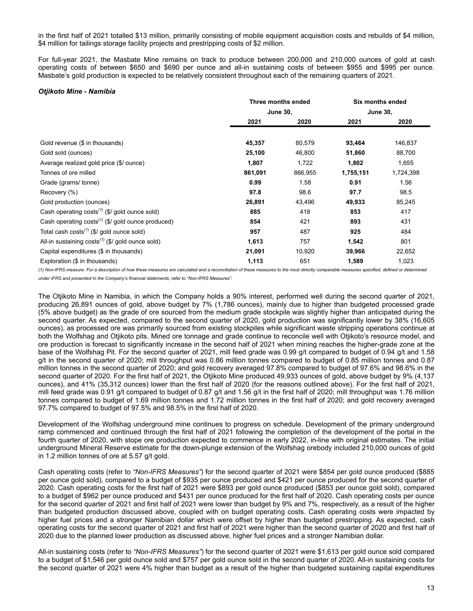in the first half of 2021 totalled \$13 million, primarily consisting of mobile equipment acquisition costs and rebuilds of \$4 million, \$4 million for tailings storage facility projects and prestripping costs of \$2 million.

For full-year 2021, the Masbate Mine remains on track to produce between 200,000 and 210,000 ounces of gold at cash operating costs of between \$650 and \$690 per ounce and all-in sustaining costs of between \$955 and \$995 per ounce. Masbate's gold production is expected to be relatively consistent throughout each of the remaining quarters of 2021.

## *Otjikoto Mine - Namibia*

|                                                                        | Three months ended |         |                 | Six months ended |
|------------------------------------------------------------------------|--------------------|---------|-----------------|------------------|
|                                                                        | <b>June 30,</b>    |         | <b>June 30,</b> |                  |
|                                                                        | 2021               | 2020    | 2021            | 2020             |
|                                                                        |                    |         |                 |                  |
| Gold revenue (\$ in thousands)                                         | 45,357             | 80,579  | 93,464          | 146,837          |
| Gold sold (ounces)                                                     | 25,100             | 46,800  | 51,860          | 88,700           |
| Average realized gold price (\$/ ounce)                                | 1,807              | 1,722   | 1,802           | 1,655            |
| Tonnes of ore milled                                                   | 861,091            | 866,955 | 1,755,151       | 1,724,398        |
| Grade (grams/ tonne)                                                   | 0.99               | 1.58    | 0.91            | 1.56             |
| Recovery (%)                                                           | 97.8               | 98.6    | 97.7            | 98.5             |
| Gold production (ounces)                                               | 26,891             | 43,496  | 49,933          | 85,245           |
| Cash operating costs <sup><math>(1)</math></sup> (\$/ gold ounce sold) | 885                | 418     | 853             | 417              |
| Cash operating $costs^{(1)}$ (\$/ gold ounce produced)                 | 854                | 421     | 893             | 431              |
| Total cash costs <sup><math>(1)</math></sup> (\$/ gold ounce sold)     | 957                | 487     | 925             | 484              |
| All-in sustaining $costs^{(1)}$ (\$/ gold ounce sold)                  | 1,613              | 757     | 1,542           | 801              |
| Capital expenditures (\$ in thousands)                                 | 21,091             | 10,920  | 39,966          | 22,652           |
| Exploration (\$ in thousands)                                          | 1,113              | 651     | 1,589           | 1,023            |

*(1) Non-IFRS measure. For a description of how these measures are calculated and a reconciliation of these measures to the most directly comparable measures specified, defined or determined under IFRS and presented in the Company's financial statements, refer to "Non-IFRS Measures".*

The Otjikoto Mine in Namibia, in which the Company holds a 90% interest, performed well during the second quarter of 2021,

producing 26,891 ounces of gold, above budget by 7% (1,786 ounces), mainly due to higher than budgeted processed grade (5% above budget) as the grade of ore sourced from the medium grade stockpile was slightly higher than anticipated during the second quarter. As expected, compared to the second quarter of 2020, gold production was significantly lower by 38% (16,605 ounces), as processed ore was primarily sourced from existing stockpiles while significant waste stripping operations continue at both the Wolfshag and Otjikoto pits. Mined ore tonnage and grade continue to reconcile well with Otjikoto's resource model, and ore production is forecast to significantly increase in the second half of 2021 when mining reaches the higher-grade zone at the base of the Wolfshag Pit. For the second quarter of 2021, mill feed grade was 0.99 g/t compared to budget of 0.94 g/t and 1.58 g/t in the second quarter of 2020; mill throughput was 0.86 million tonnes compared to budget of 0.85 million tonnes and 0.87 million tonnes in the second quarter of 2020; and gold recovery averaged 97.8% compared to budget of 97.6% and 98.6% in the second quarter of 2020. For the first half of 2021, the Otjikoto Mine produced 49,933 ounces of gold, above budget by 9% (4,137 ounces), and 41% (35,312 ounces) lower than the first half of 2020 (for the reasons outlined above). For the first half of 2021, mill feed grade was 0.91 g/t compared to budget of 0.87 g/t and 1.56 g/t in the first half of 2020; mill throughput was 1.76 million tonnes compared to budget of 1.69 million tonnes and 1.72 million tonnes in the first half of 2020; and gold recovery averaged 97.7% compared to budget of 97.5% and 98.5% in the first half of 2020.

Development of the Wolfshag underground mine continues to progress on schedule. Development of the primary underground ramp commenced and continued through the first half of 2021 following the completion of the development of the portal in the fourth quarter of 2020, with stope ore production expected to commence in early 2022, in-line with original estimates. The initial underground Mineral Reserve estimate for the down-plunge extension of the Wolfshag orebody included 210,000 ounces of gold in 1.2 million tonnes of ore at 5.57 g/t gold.

Cash operating costs (refer to *"Non-IFRS Measures"*) for the second quarter of 2021 were \$854 per gold ounce produced (\$885 per ounce gold sold), compared to a budget of \$935 per ounce produced and \$421 per ounce produced for the second quarter of 2020. Cash operating costs for the first half of 2021 were \$893 per gold ounce produced (\$853 per ounce gold sold), compared to a budget of \$962 per ounce produced and \$431 per ounce produced for the first half of 2020. Cash operating costs per ounce for the second quarter of 2021 and first half of 2021 were lower than budget by 9% and 7%, respectively, as a result of the higher than budgeted production discussed above, coupled with on budget operating costs. Cash operating costs were impacted by higher fuel prices and a stronger Namibian dollar which were offset by higher than budgeted prestripping. As expected, cash operating costs for the second quarter of 2021 and first half of 2021 were higher than the second quarter of 2020 and first half of 2020 due to the planned lower production as discussed above, higher fuel prices and a stronger Namibian dollar.

All-in sustaining costs (refer to *"Non-IFRS Measures"*) for the second quarter of 2021 were \$1,613 per gold ounce sold compared to a budget of \$1,546 per gold ounce sold and \$757 per gold ounce sold in the second quarter of 2020. All-in sustaining costs for the second quarter of 2021 were 4% higher than budget as a result of the higher than budgeted sustaining capital expenditures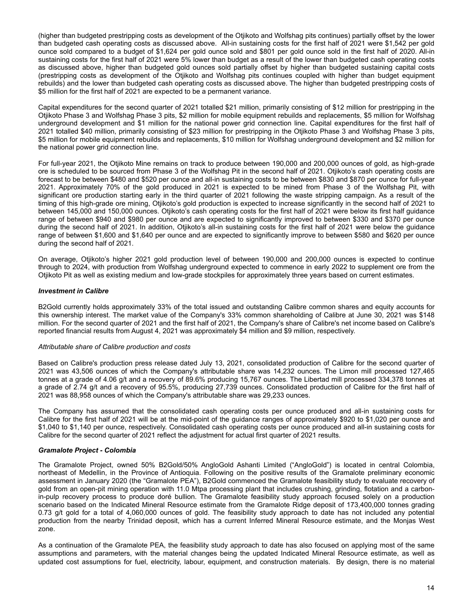(higher than budgeted prestripping costs as development of the Otjikoto and Wolfshag pits continues) partially offset by the lower than budgeted cash operating costs as discussed above. All-in sustaining costs for the first half of 2021 were \$1,542 per gold ounce sold compared to a budget of \$1,624 per gold ounce sold and \$801 per gold ounce sold in the first half of 2020. All-in sustaining costs for the first half of 2021 were 5% lower than budget as a result of the lower than budgeted cash operating costs as discussed above, higher than budgeted gold ounces sold partially offset by higher than budgeted sustaining capital costs (prestripping costs as development of the Otjikoto and Wolfshag pits continues coupled with higher than budget equipment rebuilds) and the lower than budgeted cash operating costs as discussed above. The higher than budgeted prestripping costs of \$5 million for the first half of 2021 are expected to be a permanent variance.

Capital expenditures for the second quarter of 2021 totalled \$21 million, primarily consisting of \$12 million for prestripping in the Otjikoto Phase 3 and Wolfshag Phase 3 pits, \$2 million for mobile equipment rebuilds and replacements, \$5 million for Wolfshag underground development and \$1 million for the national power grid connection line. Capital expenditures for the first half of 2021 totalled \$40 million, primarily consisting of \$23 million for prestripping in the Otjikoto Phase 3 and Wolfshag Phase 3 pits, \$5 million for mobile equipment rebuilds and replacements, \$10 million for Wolfshag underground development and \$2 million for the national power grid connection line.

For full-year 2021, the Otjikoto Mine remains on track to produce between 190,000 and 200,000 ounces of gold, as high-grade ore is scheduled to be sourced from Phase 3 of the Wolfshag Pit in the second half of 2021. Otjikoto's cash operating costs are forecast to be between \$480 and \$520 per ounce and all-in sustaining costs to be between \$830 and \$870 per ounce for full-year 2021. Approximately 70% of the gold produced in 2021 is expected to be mined from Phase 3 of the Wolfshag Pit, with significant ore production starting early in the third quarter of 2021 following the waste stripping campaign. As a result of the timing of this high-grade ore mining, Otjikoto's gold production is expected to increase significantly in the second half of 2021 to between 145,000 and 150,000 ounces. Otjikoto's cash operating costs for the first half of 2021 were below its first half guidance range of between \$940 and \$980 per ounce and are expected to significantly improved to between \$330 and \$370 per ounce during the second half of 2021. In addition, Otjikoto's all-in sustaining costs for the first half of 2021 were below the guidance range of between \$1,600 and \$1,640 per ounce and are expected to significantly improve to between \$580 and \$620 per ounce during the second half of 2021.

On average, Otjikoto's higher 2021 gold production level of between 190,000 and 200,000 ounces is expected to continue through to 2024, with production from Wolfshag underground expected to commence in early 2022 to supplement ore from the Otjikoto Pit as well as existing medium and low-grade stockpiles for approximately three years based on current estimates.

## *Investment in Calibre*

B2Gold currently holds approximately 33% of the total issued and outstanding Calibre common shares and equity accounts for this ownership interest. The market value of the Company's 33% common shareholding of Calibre at June 30, 2021 was \$148 million. For the second quarter of 2021 and the first half of 2021, the Company's share of Calibre's net income based on Calibre's reported financial results from August 4, 2021 was approximately \$4 million and \$9 million, respectively.

### *Attributable share of Calibre production and costs*

Based on Calibre's production press release dated July 13, 2021, consolidated production of Calibre for the second quarter of 2021 was 43,506 ounces of which the Company's attributable share was 14,232 ounces. The Limon mill processed 127,465 tonnes at a grade of 4.06 g/t and a recovery of 89.6% producing 15,767 ounces. The Libertad mill processed 334,378 tonnes at a grade of 2.74 g/t and a recovery of 95.5%, producing 27,739 ounces. Consolidated production of Calibre for the first half of 2021 was 88,958 ounces of which the Company's attributable share was 29,233 ounces.

The Company has assumed that the consolidated cash operating costs per ounce produced and all-in sustaining costs for Calibre for the first half of 2021 will be at the mid-point of the guidance ranges of approximately \$920 to \$1,020 per ounce and \$1,040 to \$1,140 per ounce, respectively. Consolidated cash operating costs per ounce produced and all-in sustaining costs for Calibre for the second quarter of 2021 reflect the adjustment for actual first quarter of 2021 results.

## *Gramalote Project - Colombia*

The Gramalote Project, owned 50% B2Gold/50% AngloGold Ashanti Limited ("AngloGold") is located in central Colombia, northeast of Medellin, in the Province of Antioquia. Following on the positive results of the Gramalote preliminary economic assessment in January 2020 (the "Gramalote PEA"), B2Gold commenced the Gramalote feasibility study to evaluate recovery of gold from an open-pit mining operation with 11.0 Mtpa processing plant that includes crushing, grinding, flotation and a carbonin-pulp recovery process to produce doré bullion. The Gramalote feasibility study approach focused solely on a production scenario based on the Indicated Mineral Resource estimate from the Gramalote Ridge deposit of 173,400,000 tonnes grading 0.73 g/t gold for a total of 4,060,000 ounces of gold. The feasibility study approach to date has not included any potential production from the nearby Trinidad deposit, which has a current Inferred Mineral Resource estimate, and the Monjas West zone.

As a continuation of the Gramalote PEA, the feasibility study approach to date has also focused on applying most of the same assumptions and parameters, with the material changes being the updated Indicated Mineral Resource estimate, as well as updated cost assumptions for fuel, electricity, labour, equipment, and construction materials. By design, there is no material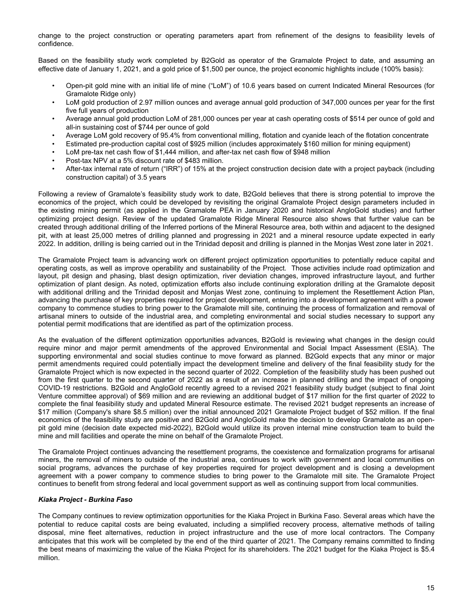change to the project construction or operating parameters apart from refinement of the designs to feasibility levels of confidence.

Based on the feasibility study work completed by B2Gold as operator of the Gramalote Project to date, and assuming an effective date of January 1, 2021, and a gold price of \$1,500 per ounce, the project economic highlights include (100% basis):

- Open-pit gold mine with an initial life of mine ("LoM") of 10.6 years based on current Indicated Mineral Resources (for Gramalote Ridge only)
- LoM gold production of 2.97 million ounces and average annual gold production of 347,000 ounces per year for the first five full years of production
- Average annual gold production LoM of 281,000 ounces per year at cash operating costs of \$514 per ounce of gold and all-in sustaining cost of \$744 per ounce of gold
- Average LoM gold recovery of 95.4% from conventional milling, flotation and cyanide leach of the flotation concentrate
- Estimated pre-production capital cost of \$925 million (includes approximately \$160 million for mining equipment)
- LoM pre-tax net cash flow of \$1,444 million, and after-tax net cash flow of \$948 million
- Post-tax NPV at a 5% discount rate of \$483 million.
- After-tax internal rate of return ("IRR") of 15% at the project construction decision date with a project payback (including construction capital) of 3.5 years

Following a review of Gramalote's feasibility study work to date, B2Gold believes that there is strong potential to improve the economics of the project, which could be developed by revisiting the original Gramalote Project design parameters included in the existing mining permit (as applied in the Gramalote PEA in January 2020 and historical AngloGold studies) and further optimizing project design. Review of the updated Gramalote Ridge Mineral Resource also shows that further value can be created through additional drilling of the Inferred portions of the Mineral Resource area, both within and adjacent to the designed pit, with at least 25,000 metres of drilling planned and progressing in 2021 and a mineral resource update expected in early 2022. In addition, drilling is being carried out in the Trinidad deposit and drilling is planned in the Monjas West zone later in 2021.

The Gramalote Project team is advancing work on different project optimization opportunities to potentially reduce capital and operating costs, as well as improve operability and sustainability of the Project. Those activities include road optimization and layout, pit design and phasing, blast design optimization, river deviation changes, improved infrastructure layout, and further optimization of plant design. As noted, optimization efforts also include continuing exploration drilling at the Gramalote deposit with additional drilling and the Trinidad deposit and Monjas West zone, continuing to implement the Resettlement Action Plan, advancing the purchase of key properties required for project development, entering into a development agreement with a power company to commence studies to bring power to the Gramalote mill site, continuing the process of formalization and removal of artisanal miners to outside of the industrial area, and completing environmental and social studies necessary to support any potential permit modifications that are identified as part of the optimization process.

As the evaluation of the different optimization opportunities advances, B2Gold is reviewing what changes in the design could require minor and major permit amendments of the approved Environmental and Social Impact Assessment (ESIA). The supporting environmental and social studies continue to move forward as planned. B2Gold expects that any minor or major permit amendments required could potentially impact the development timeline and delivery of the final feasibility study for the Gramalote Project which is now expected in the second quarter of 2022. Completion of the feasibility study has been pushed out from the first quarter to the second quarter of 2022 as a result of an increase in planned drilling and the impact of ongoing COVID-19 restrictions. B2Gold and AngloGold recently agreed to a revised 2021 feasibility study budget (subject to final Joint Venture committee approval) of \$69 million and are reviewing an additional budget of \$17 million for the first quarter of 2022 to complete the final feasibility study and updated Mineral Resource estimate. The revised 2021 budget represents an increase of \$17 million (Company's share \$8.5 million) over the initial announced 2021 Gramalote Project budget of \$52 million. If the final economics of the feasibility study are positive and B2Gold and AngloGold make the decision to develop Gramalote as an openpit gold mine (decision date expected mid-2022), B2Gold would utilize its proven internal mine construction team to build the mine and mill facilities and operate the mine on behalf of the Gramalote Project.

The Gramalote Project continues advancing the resettlement programs, the coexistence and formalization programs for artisanal miners, the removal of miners to outside of the industrial area, continues to work with government and local communities on social programs, advances the purchase of key properties required for project development and is closing a development agreement with a power company to commence studies to bring power to the Gramalote mill site. The Gramalote Project continues to benefit from strong federal and local government support as well as continuing support from local communities.

## *Kiaka Project - Burkina Faso*

The Company continues to review optimization opportunities for the Kiaka Project in Burkina Faso. Several areas which have the potential to reduce capital costs are being evaluated, including a simplified recovery process, alternative methods of tailing disposal, mine fleet alternatives, reduction in project infrastructure and the use of more local contractors. The Company anticipates that this work will be completed by the end of the third quarter of 2021. The Company remains committed to finding the best means of maximizing the value of the Kiaka Project for its shareholders. The 2021 budget for the Kiaka Project is \$5.4 million.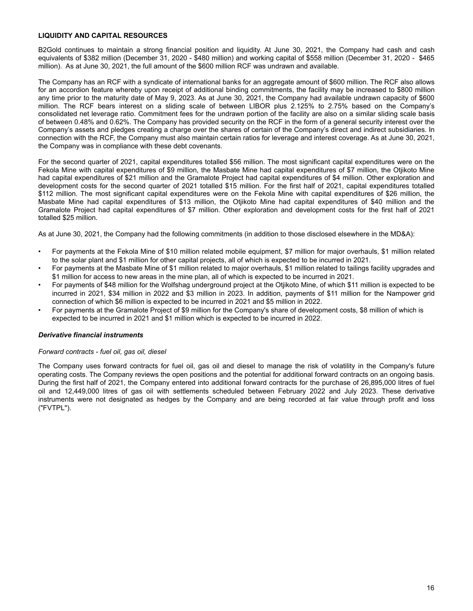## <span id="page-15-0"></span>**LIQUIDITY AND CAPITAL RESOURCES**

B2Gold continues to maintain a strong financial position and liquidity. At June 30, 2021, the Company had cash and cash equivalents of \$382 million (December 31, 2020 - \$480 million) and working capital of \$558 million (December 31, 2020 - \$465 million). As at June 30, 2021, the full amount of the \$600 million RCF was undrawn and available.

The Company has an RCF with a syndicate of international banks for an aggregate amount of \$600 million. The RCF also allows for an accordion feature whereby upon receipt of additional binding commitments, the facility may be increased to \$800 million any time prior to the maturity date of May 9, 2023. As at June 30, 2021, the Company had available undrawn capacity of \$600 million. The RCF bears interest on a sliding scale of between LIBOR plus 2.125% to 2.75% based on the Company's consolidated net leverage ratio. Commitment fees for the undrawn portion of the facility are also on a similar sliding scale basis of between 0.48% and 0.62%. The Company has provided security on the RCF in the form of a general security interest over the Company's assets and pledges creating a charge over the shares of certain of the Company's direct and indirect subsidiaries. In connection with the RCF, the Company must also maintain certain ratios for leverage and interest coverage. As at June 30, 2021, the Company was in compliance with these debt covenants.

For the second quarter of 2021, capital expenditures totalled \$56 million. The most significant capital expenditures were on the Fekola Mine with capital expenditures of \$9 million, the Masbate Mine had capital expenditures of \$7 million, the Otjikoto Mine had capital expenditures of \$21 million and the Gramalote Project had capital expenditures of \$4 million. Other exploration and development costs for the second quarter of 2021 totalled \$15 million. For the first half of 2021, capital expenditures totalled \$112 million. The most significant capital expenditures were on the Fekola Mine with capital expenditures of \$26 million, the Masbate Mine had capital expenditures of \$13 million, the Otjikoto Mine had capital expenditures of \$40 million and the Gramalote Project had capital expenditures of \$7 million. Other exploration and development costs for the first half of 2021 totalled \$25 million.

As at June 30, 2021, the Company had the following commitments (in addition to those disclosed elsewhere in the MD&A):

- For payments at the Fekola Mine of \$10 million related mobile equipment, \$7 million for major overhauls, \$1 million related to the solar plant and \$1 million for other capital projects, all of which is expected to be incurred in 2021.
- For payments at the Masbate Mine of \$1 million related to major overhauls, \$1 million related to tailings facility upgrades and \$1 million for access to new areas in the mine plan, all of which is expected to be incurred in 2021.
- For payments of \$48 million for the Wolfshag underground project at the Otjikoto Mine, of which \$11 million is expected to be incurred in 2021, \$34 million in 2022 and \$3 million in 2023. In addition, payments of \$11 million for the Nampower grid connection of which \$6 million is expected to be incurred in 2021 and \$5 million in 2022.
- For payments at the Gramalote Project of \$9 million for the Company's share of development costs, \$8 million of which is expected to be incurred in 2021 and \$1 million which is expected to be incurred in 2022.

## *Derivative financial instruments*

### *Forward contracts - fuel oil, gas oil, diesel*

The Company uses forward contracts for fuel oil, gas oil and diesel to manage the risk of volatility in the Company's future operating costs. The Company reviews the open positions and the potential for additional forward contracts on an ongoing basis. During the first half of 2021, the Company entered into additional forward contracts for the purchase of 26,895,000 litres of fuel oil and 12,449,000 litres of gas oil with settlements scheduled between February 2022 and July 2023. These derivative instruments were not designated as hedges by the Company and are being recorded at fair value through profit and loss ("FVTPL").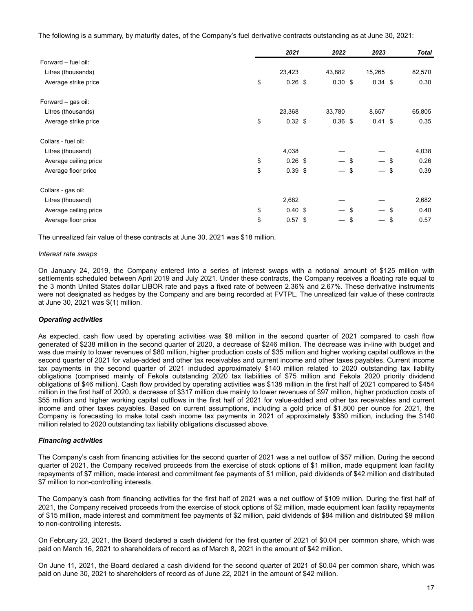The following is a summary, by maturity dates, of the Company's fuel derivative contracts outstanding as at June 30, 2021:

|                       | 2021            | 2022                           | 2023                           |      | Total  |
|-----------------------|-----------------|--------------------------------|--------------------------------|------|--------|
| Forward - fuel oil:   |                 |                                |                                |      |        |
| Litres (thousands)    | 23,423          | 43,882                         | 15,265                         |      | 82,570 |
| Average strike price  | \$<br>$0.26$ \$ | $0.30 \text{ } $$              | $0.34$ \$                      |      | 0.30   |
| Forward - gas oil:    |                 |                                |                                |      |        |
| Litres (thousands)    | 23,368          | 33,780                         | 8,657                          |      | 65,805 |
| Average strike price  | \$<br>$0.32$ \$ | $0.36$ \$                      | $0.41 \text{ } $$              |      | 0.35   |
| Collars - fuel oil:   |                 |                                |                                |      |        |
| Litres (thousand)     | 4,038           |                                |                                |      | 4,038  |
| Average ceiling price | \$<br>$0.26$ \$ |                                | \$<br>$-$ \$                   |      | 0.26   |
| Average floor price   | \$<br>$0.39$ \$ | $\overbrace{\phantom{123331}}$ | \$<br>$\overline{\phantom{0}}$ | -\$  | 0.39   |
| Collars - gas oil:    |                 |                                |                                |      |        |
| Litres (thousand)     | 2,682           |                                |                                |      | 2,682  |
| Average ceiling price | \$<br>0.40~\$   |                                | \$                             | - \$ | 0.40   |
| Average floor price   | \$<br>$0.57$ \$ | $\overline{\phantom{m}}$       | \$                             | \$   | 0.57   |

The unrealized fair value of these contracts at June 30, 2021 was \$18 million.

### *Interest rate swaps*

On January 24, 2019, the Company entered into a series of interest swaps with a notional amount of \$125 million with settlements scheduled between April 2019 and July 2021. Under these contracts, the Company receives a floating rate equal to the 3 month United States dollar LIBOR rate and pays a fixed rate of between 2.36% and 2.67%. These derivative instruments were not designated as hedges by the Company and are being recorded at FVTPL. The unrealized fair value of these contracts at June 30, 2021 was \$(1) million.

## *Operating activities*

As expected, cash flow used by operating activities was \$8 million in the second quarter of 2021 compared to cash flow generated of \$238 million in the second quarter of 2020, a decrease of \$246 million. The decrease was in-line with budget and was due mainly to lower revenues of \$80 million, higher production costs of \$35 million and higher working capital outflows in the second quarter of 2021 for value-added and other tax receivables and current income and other taxes payables. Current income tax payments in the second quarter of 2021 included approximately \$140 million related to 2020 outstanding tax liability obligations (comprised mainly of Fekola outstanding 2020 tax liabilities of \$75 million and Fekola 2020 priority dividend obligations of \$46 million). Cash flow provided by operating activities was \$138 million in the first half of 2021 compared to \$454 million in the first half of 2020, a decrease of \$317 million due mainly to lower revenues of \$97 million, higher production costs of \$55 million and higher working capital outflows in the first half of 2021 for value-added and other tax receivables and current income and other taxes payables. Based on current assumptions, including a gold price of \$1,800 per ounce for 2021, the Company is forecasting to make total cash income tax payments in 2021 of approximately \$380 million, including the \$140 million related to 2020 outstanding tax liability obligations discussed above.

## *Financing activities*

The Company's cash from financing activities for the second quarter of 2021 was a net outflow of \$57 million. During the second quarter of 2021, the Company received proceeds from the exercise of stock options of \$1 million, made equipment loan facility repayments of \$7 million, made interest and commitment fee payments of \$1 million, paid dividends of \$42 million and distributed \$7 million to non-controlling interests.

The Company's cash from financing activities for the first half of 2021 was a net outflow of \$109 million. During the first half of 2021, the Company received proceeds from the exercise of stock options of \$2 million, made equipment loan facility repayments of \$15 million, made interest and commitment fee payments of \$2 million, paid dividends of \$84 million and distributed \$9 million to non-controlling interests.

On February 23, 2021, the Board declared a cash dividend for the first quarter of 2021 of \$0.04 per common share, which was paid on March 16, 2021 to shareholders of record as of March 8, 2021 in the amount of \$42 million.

On June 11, 2021, the Board declared a cash dividend for the second quarter of 2021 of \$0.04 per common share, which was paid on June 30, 2021 to shareholders of record as of June 22, 2021 in the amount of \$42 million.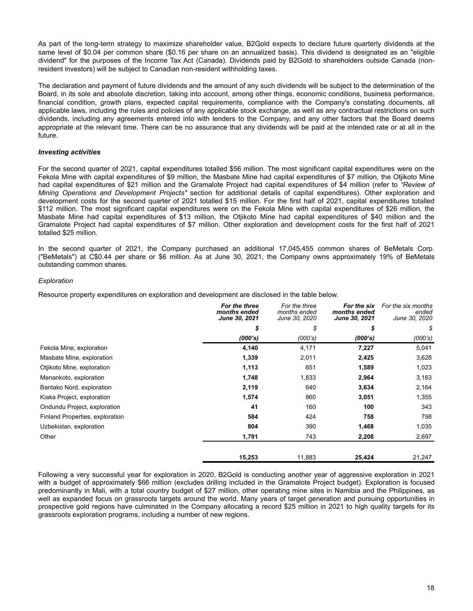As part of the long-term strategy to maximize shareholder value, B2Gold expects to declare future quarterly dividends at the same level of \$0.04 per common share (\$0.16 per share on an annualized basis). This dividend is designated as an "eligible dividend" for the purposes of the Income Tax Act (Canada). Dividends paid by B2Gold to shareholders outside Canada (nonresident investors) will be subject to Canadian non-resident withholding taxes.

The declaration and payment of future dividends and the amount of any such dividends will be subject to the determination of the Board, in its sole and absolute discretion, taking into account, among other things, economic conditions, business performance, financial condition, growth plans, expected capital requirements, compliance with the Company's constating documents, all applicable laws, including the rules and policies of any applicable stock exchange, as well as any contractual restrictions on such dividends, including any agreements entered into with lenders to the Company, and any other factors that the Board deems appropriate at the relevant time. There can be no assurance that any dividends will be paid at the intended rate or at all in the future.

## *Investing activities*

For the second quarter of 2021, capital expenditures totalled \$56 million. The most significant capital expenditures were on the Fekola Mine with capital expenditures of \$9 million, the Masbate Mine had capital expenditures of \$7 million, the Otjikoto Mine had capital expenditures of \$21 million and the Gramalote Project had capital expenditures of \$4 million (refer to *"Review of Mining Operations and Development Projects"* section for additional details of capital expenditures). Other exploration and development costs for the second quarter of 2021 totalled \$15 million. For the first half of 2021, capital expenditures totalled \$112 million. The most significant capital expenditures were on the Fekola Mine with capital expenditures of \$26 million, the Masbate Mine had capital expenditures of \$13 million, the Otjikoto Mine had capital expenditures of \$40 million and the Gramalote Project had capital expenditures of \$7 million. Other exploration and development costs for the first half of 2021 totalled \$25 million.

In the second quarter of 2021, the Company purchased an additional 17,045,455 common shares of BeMetals Corp. ("BeMetals") at C\$0.44 per share or \$6 million. As at June 30, 2021, the Company owns approximately 19% of BeMetals outstanding common shares.

## *Exploration*

Resource property expenditures on exploration and development are disclosed in the table below.

|                                 | For the three<br>months ended<br><b>June 30, 2021</b> | For the three<br>months ended<br>June 30, 2020 | For the six<br>months ended<br><b>June 30, 2021</b> | For the six months<br>ended<br>June 30, 2020 |
|---------------------------------|-------------------------------------------------------|------------------------------------------------|-----------------------------------------------------|----------------------------------------------|
|                                 | \$                                                    | \$                                             | \$                                                  | \$                                           |
|                                 | (000's)                                               | (000's)                                        | (000's)                                             | (000's)                                      |
| Fekola Mine, exploration        | 4,140                                                 | 4,171                                          | 7,227                                               | 5,041                                        |
| Masbate Mine, exploration       | 1,339                                                 | 2,011                                          | 2,425                                               | 3,628                                        |
| Otjikoto Mine, exploration      | 1,113                                                 | 651                                            | 1,589                                               | 1,023                                        |
| Menankoto, exploration          | 1,748                                                 | 1,833                                          | 2,964                                               | 3,163                                        |
| Bantako Nord, exploration       | 2,119                                                 | 640                                            | 3,634                                               | 2,164                                        |
| Kiaka Project, exploration      | 1,574                                                 | 860                                            | 3,051                                               | 1,355                                        |
| Ondundu Project, exploration    | 41                                                    | 160                                            | 100                                                 | 343                                          |
| Finland Properties, exploration | 584                                                   | 424                                            | 758                                                 | 798                                          |
| Uzbekistan, exploration         | 804                                                   | 390                                            | 1,468                                               | 1,035                                        |
| Other                           | 1,791                                                 | 743                                            | 2,208                                               | 2,697                                        |
|                                 | 15,253                                                | 11,883                                         | 25,424                                              | 21,247                                       |

Following a very successful year for exploration in 2020, B2Gold is conducting another year of aggressive exploration in 2021 with a budget of approximately \$66 million (excludes drilling included in the Gramalote Project budget). Exploration is focused predominantly in Mali, with a total country budget of \$27 million, other operating mine sites in Namibia and the Philippines, as well as expanded focus on grassroots targets around the world. Many years of target generation and pursuing opportunities in prospective gold regions have culminated in the Company allocating a record \$25 million in 2021 to high quality targets for its grassroots exploration programs, including a number of new regions.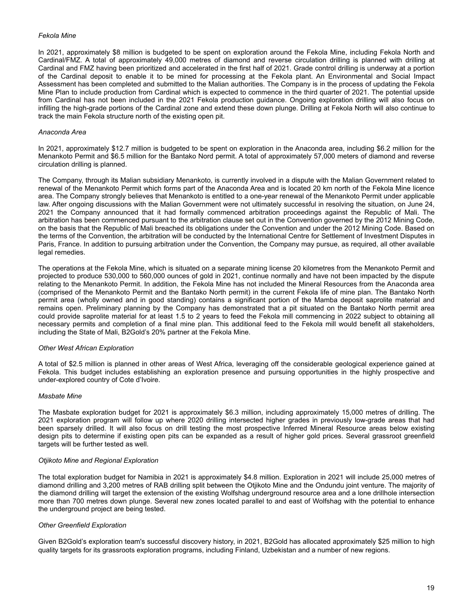## *Fekola Mine*

In 2021, approximately \$8 million is budgeted to be spent on exploration around the Fekola Mine, including Fekola North and Cardinal/FMZ. A total of approximately 49,000 metres of diamond and reverse circulation drilling is planned with drilling at Cardinal and FMZ having been prioritized and accelerated in the first half of 2021. Grade control drilling is underway at a portion of the Cardinal deposit to enable it to be mined for processing at the Fekola plant. An Environmental and Social Impact Assessment has been completed and submitted to the Malian authorities. The Company is in the process of updating the Fekola Mine Plan to include production from Cardinal which is expected to commence in the third quarter of 2021. The potential upside from Cardinal has not been included in the 2021 Fekola production guidance. Ongoing exploration drilling will also focus on infilling the high-grade portions of the Cardinal zone and extend these down plunge. Drilling at Fekola North will also continue to track the main Fekola structure north of the existing open pit.

### *Anaconda Area*

In 2021, approximately \$12.7 million is budgeted to be spent on exploration in the Anaconda area, including \$6.2 million for the Menankoto Permit and \$6.5 million for the Bantako Nord permit. A total of approximately 57,000 meters of diamond and reverse circulation drilling is planned.

The Company, through its Malian subsidiary Menankoto, is currently involved in a dispute with the Malian Government related to renewal of the Menankoto Permit which forms part of the Anaconda Area and is located 20 km north of the Fekola Mine licence area. The Company strongly believes that Menankoto is entitled to a one-year renewal of the Menankoto Permit under applicable law. After ongoing discussions with the Malian Government were not ultimately successful in resolving the situation, on June 24, 2021 the Company announced that it had formally commenced arbitration proceedings against the Republic of Mali. The arbitration has been commenced pursuant to the arbitration clause set out in the Convention governed by the 2012 Mining Code, on the basis that the Republic of Mali breached its obligations under the Convention and under the 2012 Mining Code. Based on the terms of the Convention, the arbitration will be conducted by the International Centre for Settlement of Investment Disputes in Paris, France. In addition to pursuing arbitration under the Convention, the Company may pursue, as required, all other available legal remedies.

The operations at the Fekola Mine, which is situated on a separate mining license 20 kilometres from the Menankoto Permit and projected to produce 530,000 to 560,000 ounces of gold in 2021, continue normally and have not been impacted by the dispute relating to the Menankoto Permit. In addition, the Fekola Mine has not included the Mineral Resources from the Anaconda area (comprised of the Menankoto Permit and the Bantako North permit) in the current Fekola life of mine plan. The Bantako North permit area (wholly owned and in good standing) contains a significant portion of the Mamba deposit saprolite material and remains open. Preliminary planning by the Company has demonstrated that a pit situated on the Bantako North permit area could provide saprolite material for at least 1.5 to 2 years to feed the Fekola mill commencing in 2022 subject to obtaining all necessary permits and completion of a final mine plan. This additional feed to the Fekola mill would benefit all stakeholders, including the State of Mali, B2Gold's 20% partner at the Fekola Mine.

### *Other West African Exploration*

A total of \$2.5 million is planned in other areas of West Africa, leveraging off the considerable geological experience gained at Fekola. This budget includes establishing an exploration presence and pursuing opportunities in the highly prospective and under-explored country of Cote d'Ivoire.

### *Masbate Mine*

The Masbate exploration budget for 2021 is approximately \$6.3 million, including approximately 15,000 metres of drilling. The 2021 exploration program will follow up where 2020 drilling intersected higher grades in previously low-grade areas that had been sparsely drilled. It will also focus on drill testing the most prospective Inferred Mineral Resource areas below existing design pits to determine if existing open pits can be expanded as a result of higher gold prices. Several grassroot greenfield targets will be further tested as well.

### *Otjikoto Mine and Regional Exploration*

The total exploration budget for Namibia in 2021 is approximately \$4.8 million. Exploration in 2021 will include 25,000 metres of diamond drilling and 3,200 metres of RAB drilling split between the Otjikoto Mine and the Ondundu joint venture. The majority of the diamond drilling will target the extension of the existing Wolfshag underground resource area and a lone drillhole intersection more than 700 metres down plunge. Several new zones located parallel to and east of Wolfshag with the potential to enhance the underground project are being tested.

### *Other Greenfield Exploration*

Given B2Gold's exploration team's successful discovery history, in 2021, B2Gold has allocated approximately \$25 million to high quality targets for its grassroots exploration programs, including Finland, Uzbekistan and a number of new regions.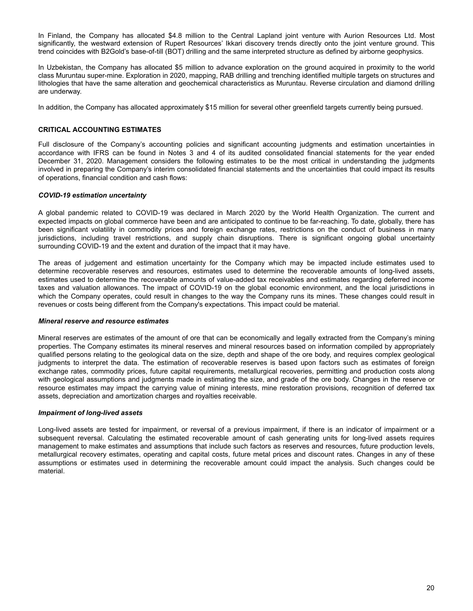<span id="page-19-0"></span>In Finland, the Company has allocated \$4.8 million to the Central Lapland joint venture with Aurion Resources Ltd. Most significantly, the westward extension of Rupert Resources' Ikkari discovery trends directly onto the joint venture ground. This trend coincides with B2Gold's base-of-till (BOT) drilling and the same interpreted structure as defined by airborne geophysics.

In Uzbekistan, the Company has allocated \$5 million to advance exploration on the ground acquired in proximity to the world class Muruntau super-mine. Exploration in 2020, mapping, RAB drilling and trenching identified multiple targets on structures and lithologies that have the same alteration and geochemical characteristics as Muruntau. Reverse circulation and diamond drilling are underway.

In addition, the Company has allocated approximately \$15 million for several other greenfield targets currently being pursued.

## **CRITICAL ACCOUNTING ESTIMATES**

Full disclosure of the Company's accounting policies and significant accounting judgments and estimation uncertainties in accordance with IFRS can be found in Notes 3 and 4 of its audited consolidated financial statements for the year ended December 31, 2020. Management considers the following estimates to be the most critical in understanding the judgments involved in preparing the Company's interim consolidated financial statements and the uncertainties that could impact its results of operations, financial condition and cash flows:

## *COVID-19 estimation uncertainty*

A global pandemic related to COVID-19 was declared in March 2020 by the World Health Organization. The current and expected impacts on global commerce have been and are anticipated to continue to be far-reaching. To date, globally, there has been significant volatility in commodity prices and foreign exchange rates, restrictions on the conduct of business in many jurisdictions, including travel restrictions, and supply chain disruptions. There is significant ongoing global uncertainty surrounding COVID-19 and the extent and duration of the impact that it may have.

The areas of judgement and estimation uncertainty for the Company which may be impacted include estimates used to determine recoverable reserves and resources, estimates used to determine the recoverable amounts of long-lived assets, estimates used to determine the recoverable amounts of value-added tax receivables and estimates regarding deferred income taxes and valuation allowances. The impact of COVID-19 on the global economic environment, and the local jurisdictions in which the Company operates, could result in changes to the way the Company runs its mines. These changes could result in revenues or costs being different from the Company's expectations. This impact could be material.

## *Mineral reserve and resource estimates*

Mineral reserves are estimates of the amount of ore that can be economically and legally extracted from the Company's mining properties. The Company estimates its mineral reserves and mineral resources based on information compiled by appropriately qualified persons relating to the geological data on the size, depth and shape of the ore body, and requires complex geological judgments to interpret the data. The estimation of recoverable reserves is based upon factors such as estimates of foreign exchange rates, commodity prices, future capital requirements, metallurgical recoveries, permitting and production costs along with geological assumptions and judgments made in estimating the size, and grade of the ore body. Changes in the reserve or resource estimates may impact the carrying value of mining interests, mine restoration provisions, recognition of deferred tax assets, depreciation and amortization charges and royalties receivable.

## *Impairment of long-lived assets*

Long-lived assets are tested for impairment, or reversal of a previous impairment, if there is an indicator of impairment or a subsequent reversal. Calculating the estimated recoverable amount of cash generating units for long-lived assets requires management to make estimates and assumptions that include such factors as reserves and resources, future production levels, metallurgical recovery estimates, operating and capital costs, future metal prices and discount rates. Changes in any of these assumptions or estimates used in determining the recoverable amount could impact the analysis. Such changes could be material.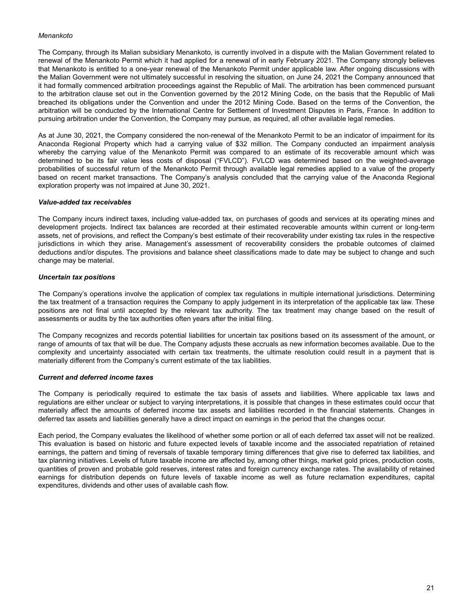## *Menankoto*

The Company, through its Malian subsidiary Menankoto, is currently involved in a dispute with the Malian Government related to renewal of the Menankoto Permit which it had applied for a renewal of in early February 2021. The Company strongly believes that Menankoto is entitled to a one-year renewal of the Menankoto Permit under applicable law. After ongoing discussions with the Malian Government were not ultimately successful in resolving the situation, on June 24, 2021 the Company announced that it had formally commenced arbitration proceedings against the Republic of Mali. The arbitration has been commenced pursuant to the arbitration clause set out in the Convention governed by the 2012 Mining Code, on the basis that the Republic of Mali breached its obligations under the Convention and under the 2012 Mining Code. Based on the terms of the Convention, the arbitration will be conducted by the International Centre for Settlement of Investment Disputes in Paris, France. In addition to pursuing arbitration under the Convention, the Company may pursue, as required, all other available legal remedies.

As at June 30, 2021, the Company considered the non-renewal of the Menankoto Permit to be an indicator of impairment for its Anaconda Regional Property which had a carrying value of \$32 million. The Company conducted an impairment analysis whereby the carrying value of the Menankoto Permit was compared to an estimate of its recoverable amount which was determined to be its fair value less costs of disposal ("FVLCD"). FVLCD was determined based on the weighted-average probabilities of successful return of the Menankoto Permit through available legal remedies applied to a value of the property based on recent market transactions. The Company's analysis concluded that the carrying value of the Anaconda Regional exploration property was not impaired at June 30, 2021.

## *Value-added tax receivables*

The Company incurs indirect taxes, including value-added tax, on purchases of goods and services at its operating mines and development projects. Indirect tax balances are recorded at their estimated recoverable amounts within current or long-term assets, net of provisions, and reflect the Company's best estimate of their recoverability under existing tax rules in the respective jurisdictions in which they arise. Management's assessment of recoverability considers the probable outcomes of claimed deductions and/or disputes. The provisions and balance sheet classifications made to date may be subject to change and such change may be material.

## *Uncertain tax positions*

The Company's operations involve the application of complex tax regulations in multiple international jurisdictions. Determining the tax treatment of a transaction requires the Company to apply judgement in its interpretation of the applicable tax law. These positions are not final until accepted by the relevant tax authority. The tax treatment may change based on the result of assessments or audits by the tax authorities often years after the initial filing.

The Company recognizes and records potential liabilities for uncertain tax positions based on its assessment of the amount, or range of amounts of tax that will be due. The Company adjusts these accruals as new information becomes available. Due to the complexity and uncertainty associated with certain tax treatments, the ultimate resolution could result in a payment that is materially different from the Company's current estimate of the tax liabilities.

## *Current and deferred income taxes*

The Company is periodically required to estimate the tax basis of assets and liabilities. Where applicable tax laws and regulations are either unclear or subject to varying interpretations, it is possible that changes in these estimates could occur that materially affect the amounts of deferred income tax assets and liabilities recorded in the financial statements. Changes in deferred tax assets and liabilities generally have a direct impact on earnings in the period that the changes occur.

Each period, the Company evaluates the likelihood of whether some portion or all of each deferred tax asset will not be realized. This evaluation is based on historic and future expected levels of taxable income and the associated repatriation of retained earnings, the pattern and timing of reversals of taxable temporary timing differences that give rise to deferred tax liabilities, and tax planning initiatives. Levels of future taxable income are affected by, among other things, market gold prices, production costs, quantities of proven and probable gold reserves, interest rates and foreign currency exchange rates. The availability of retained earnings for distribution depends on future levels of taxable income as well as future reclamation expenditures, capital expenditures, dividends and other uses of available cash flow.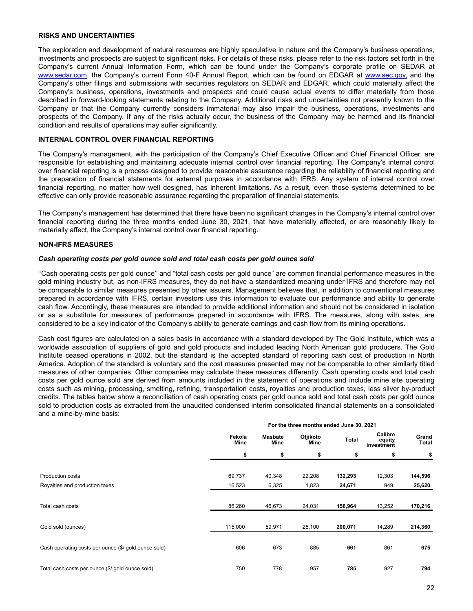## <span id="page-21-0"></span>**RISKS AND UNCERTAINTIES**

The exploration and development of natural resources are highly speculative in nature and the Company's business operations, investments and prospects are subject to significant risks. For details of these risks, please refer to the risk factors set forth in the Company's current Annual Information Form, which can be found under the Company's corporate profile on SEDAR at www.sedar.com, the Company's current Form 40-F Annual Report, which can be found on EDGAR at www.sec.gov, and the Company's other filings and submissions with securities regulators on SEDAR and EDGAR, which could materially affect the Company's business, operations, investments and prospects and could cause actual events to differ materially from those described in forward-looking statements relating to the Company. Additional risks and uncertainties not presently known to the Company or that the Company currently considers immaterial may also impair the business, operations, investments and prospects of the Company. If any of the risks actually occur, the business of the Company may be harmed and its financial condition and results of operations may suffer significantly.

## **INTERNAL CONTROL OVER FINANCIAL REPORTING**

The Company's management, with the participation of the Company's Chief Executive Officer and Chief Financial Officer, are responsible for establishing and maintaining adequate internal control over financial reporting. The Company's internal control over financial reporting is a process designed to provide reasonable assurance regarding the reliability of financial reporting and the preparation of financial statements for external purposes in accordance with IFRS. Any system of internal control over financial reporting, no matter how well designed, has inherent limitations. As a result, even those systems determined to be effective can only provide reasonable assurance regarding the preparation of financial statements.

The Company's management has determined that there have been no significant changes in the Company's internal control over financial reporting during the three months ended June 30, 2021, that have materially affected, or are reasonably likely to materially affect, the Company's internal control over financial reporting.

### **NON-IFRS MEASURES**

### *Cash operating costs per gold ounce sold and total cash costs per gold ounce sold*

''Cash operating costs per gold ounce'' and "total cash costs per gold ounce" are common financial performance measures in the gold mining industry but, as non-IFRS measures, they do not have a standardized meaning under IFRS and therefore may not be comparable to similar measures presented by other issuers. Management believes that, in addition to conventional measures prepared in accordance with IFRS, certain investors use this information to evaluate our performance and ability to generate cash flow. Accordingly, these measures are intended to provide additional information and should not be considered in isolation or as a substitute for measures of performance prepared in accordance with IFRS. The measures, along with sales, are considered to be a key indicator of the Company's ability to generate earnings and cash flow from its mining operations.

Cash cost figures are calculated on a sales basis in accordance with a standard developed by The Gold Institute, which was a worldwide association of suppliers of gold and gold products and included leading North American gold producers. The Gold Institute ceased operations in 2002, but the standard is the accepted standard of reporting cash cost of production in North America. Adoption of the standard is voluntary and the cost measures presented may not be comparable to other similarly titled measures of other companies. Other companies may calculate these measures differently. Cash operating costs and total cash costs per gold ounce sold are derived from amounts included in the statement of operations and include mine site operating costs such as mining, processing, smelting, refining, transportation costs, royalties and production taxes, less silver by-product credits. The tables below show a reconciliation of cash operating costs per gold ounce sold and total cash costs per gold ounce sold to production costs as extracted from the unaudited condensed interim consolidated financial statements on a consolidated and a mine-by-mine basis:

|                                                      | Fekola<br>Mine | <b>Masbate</b><br>Mine | Otjikoto<br>Mine | Total   | Calibre<br>equity<br>investment | Grand<br>Total |  |  |
|------------------------------------------------------|----------------|------------------------|------------------|---------|---------------------------------|----------------|--|--|
|                                                      | \$             | \$                     | \$               | \$      | \$                              | \$             |  |  |
| Production costs                                     | 69,737         | 40,348                 | 22,208           | 132,293 | 12,303                          | 144,596        |  |  |
| Royalties and production taxes                       | 16,523         | 6,325                  | 1,823            | 24,671  | 949                             | 25,620         |  |  |
| Total cash costs                                     | 86,260         | 46,673                 | 24,031           | 156,964 | 13,252                          | 170,216        |  |  |
| Gold sold (ounces)                                   | 115,000        | 59,971                 | 25,100           | 200,071 | 14,289                          | 214,360        |  |  |
| Cash operating costs per ounce (\$/ gold ounce sold) | 606            | 673                    | 885              | 661     | 861                             | 675            |  |  |
| Total cash costs per ounce (\$/ gold ounce sold)     | 750            | 778                    | 957              | 785     | 927                             | 794            |  |  |

#### **For the three months ended June 30, 2021**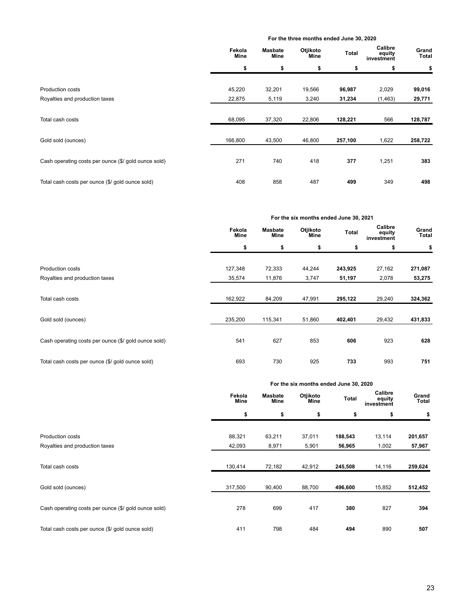**For the three months ended June 30, 2020**

|                                                      | Fekola<br><b>Mine</b> | Masbate<br>Mine | Otjikoto<br>Mine | Total   | Calibre<br>equity<br>investment | Grand<br>Total |
|------------------------------------------------------|-----------------------|-----------------|------------------|---------|---------------------------------|----------------|
|                                                      | \$                    | \$              | \$               | \$      | \$                              | \$             |
|                                                      |                       |                 |                  |         |                                 |                |
| <b>Production costs</b>                              | 45,220                | 32,201          | 19,566           | 96,987  | 2,029                           | 99,016         |
| Royalties and production taxes                       | 22,875                | 5,119           | 3,240            | 31,234  | (1, 463)                        | 29,771         |
|                                                      |                       |                 |                  |         |                                 |                |
| Total cash costs                                     | 68,095                | 37,320          | 22,806           | 128,221 | 566                             | 128,787        |
|                                                      |                       |                 |                  |         |                                 |                |
| Gold sold (ounces)                                   | 166,800               | 43,500          | 46,800           | 257,100 | 1,622                           | 258,722        |
|                                                      |                       |                 |                  |         |                                 |                |
| Cash operating costs per ounce (\$/ gold ounce sold) | 271                   | 740             | 418              | 377     | 1,251                           | 383            |
|                                                      |                       |                 |                  |         |                                 |                |
| Total cash costs per ounce (\$/ gold ounce sold)     | 408                   | 858             | 487              | 499     | 349                             | 498            |

|                                                      |                | For the six months ended June 30, 2021 |                  |         |                                 |                       |  |  |
|------------------------------------------------------|----------------|----------------------------------------|------------------|---------|---------------------------------|-----------------------|--|--|
|                                                      | Fekola<br>Mine | <b>Masbate</b><br><b>Mine</b>          | Otjikoto<br>Mine | Total   | Calibre<br>equity<br>investment | Grand<br><b>Total</b> |  |  |
|                                                      | \$             | \$                                     | \$               | \$      | \$                              | \$                    |  |  |
| Production costs                                     | 127,348        | 72,333                                 | 44,244           | 243,925 | 27,162                          | 271,087               |  |  |
| Royalties and production taxes                       | 35,574         | 11,876                                 | 3,747            | 51,197  | 2,078                           | 53,275                |  |  |
| Total cash costs                                     | 162,922        | 84,209                                 | 47,991           | 295,122 | 29,240                          | 324,362               |  |  |
| Gold sold (ounces)                                   | 235,200        | 115,341                                | 51,860           | 402,401 | 29,432                          | 431,833               |  |  |
| Cash operating costs per ounce (\$/ gold ounce sold) | 541            | 627                                    | 853              | 606     | 923                             | 628                   |  |  |
| Total cash costs per ounce (\$/ gold ounce sold)     | 693            | 730                                    | 925              | 733     | 993                             | 751                   |  |  |

|                                                      | For the six months ended June 30, 2020 |                 |                  |              |                                 |                |  |  |
|------------------------------------------------------|----------------------------------------|-----------------|------------------|--------------|---------------------------------|----------------|--|--|
|                                                      | Fekola<br><b>Mine</b>                  | Masbate<br>Mine | Otjikoto<br>Mine | <b>Total</b> | Calibre<br>equity<br>investment | Grand<br>Total |  |  |
|                                                      | \$                                     | \$              | \$               | \$           | \$                              | \$             |  |  |
| Production costs                                     | 88,321                                 | 63,211          | 37,011           | 188,543      | 13,114                          | 201,657        |  |  |
| Royalties and production taxes                       | 42,093                                 | 8,971           | 5,901            | 56,965       | 1,002                           | 57,967         |  |  |
| Total cash costs                                     | 130,414                                | 72,182          | 42,912           | 245,508      | 14,116                          | 259,624        |  |  |
| Gold sold (ounces)                                   | 317,500                                | 90,400          | 88,700           | 496,600      | 15,852                          | 512,452        |  |  |
| Cash operating costs per ounce (\$/ gold ounce sold) | 278                                    | 699             | 417              | 380          | 827                             | 394            |  |  |
| Total cash costs per ounce (\$/ gold ounce sold)     | 411                                    | 798             | 484              | 494          | 890                             | 507            |  |  |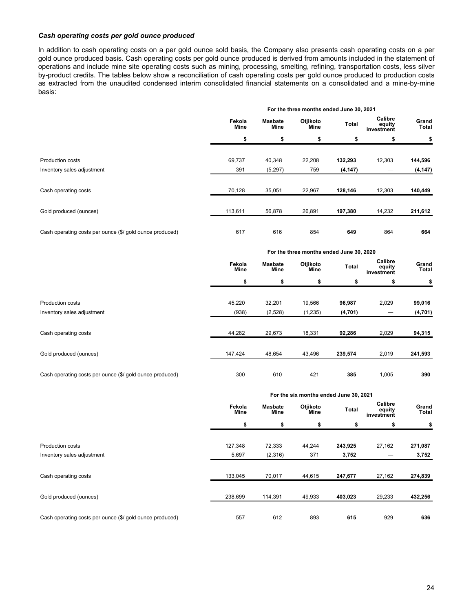## *Cash operating costs per gold ounce produced*

In addition to cash operating costs on a per gold ounce sold basis, the Company also presents cash operating costs on a per gold ounce produced basis. Cash operating costs per gold ounce produced is derived from amounts included in the statement of operations and include mine site operating costs such as mining, processing, smelting, refining, transportation costs, less silver by-product credits. The tables below show a reconciliation of cash operating costs per gold ounce produced to production costs as extracted from the unaudited condensed interim consolidated financial statements on a consolidated and a mine-by-mine basis:

|                                                          |                                          |                               | For the three months ended June 30, 2021 |              |                                 |                       |
|----------------------------------------------------------|------------------------------------------|-------------------------------|------------------------------------------|--------------|---------------------------------|-----------------------|
|                                                          | Fekola<br>Mine                           | <b>Masbate</b><br><b>Mine</b> | Otjikoto<br><b>Mine</b>                  | <b>Total</b> | Calibre<br>equity<br>investment | Grand<br><b>Total</b> |
|                                                          | \$                                       | \$                            | \$                                       | \$           | \$                              | \$                    |
| Production costs                                         | 69,737                                   | 40,348                        | 22,208                                   | 132,293      | 12,303                          | 144,596               |
| Inventory sales adjustment                               | 391                                      | (5, 297)                      | 759                                      | (4, 147)     |                                 | (4, 147)              |
| Cash operating costs                                     | 70,128                                   | 35,051                        | 22,967                                   | 128,146      | 12,303                          | 140,449               |
| Gold produced (ounces)                                   | 113,611                                  | 56,878                        | 26,891                                   | 197,380      | 14,232                          | 211,612               |
| Cash operating costs per ounce (\$/ gold ounce produced) | 617                                      | 616                           | 854                                      | 649          | 864                             | 664                   |
|                                                          | For the three months ended June 30, 2020 |                               |                                          |              |                                 |                       |
|                                                          | Fekola<br>Mine                           | <b>Masbate</b><br><b>Mine</b> | Otjikoto<br>Mine                         | <b>Total</b> | Calibre<br>equity<br>investment | Grand<br><b>Total</b> |
|                                                          | \$                                       | \$                            | \$                                       | \$           | \$                              | \$                    |
| Production costs                                         | 45,220                                   | 32,201                        | 19,566                                   | 96,987       | 2,029                           | 99,016                |
| Inventory sales adjustment                               | (938)                                    | (2,528)                       | (1,235)                                  | (4,701)      |                                 | (4,701)               |
| Cash operating costs                                     | 44,282                                   | 29,673                        | 18,331                                   | 92,286       | 2,029                           | 94,315                |
| Gold produced (ounces)                                   | 147,424                                  | 48,654                        | 43,496                                   | 239,574      | 2,019                           | 241,593               |
| Cash operating costs per ounce (\$/ gold ounce produced) | 300                                      | 610                           | 421                                      | 385          | 1,005                           | 390                   |

|                                                          | For the six months ended June 30, 2021 |                                            |        |              |                                 |                |  |  |  |
|----------------------------------------------------------|----------------------------------------|--------------------------------------------|--------|--------------|---------------------------------|----------------|--|--|--|
|                                                          | Fekola<br>Mine                         | Otjikoto<br><b>Masbate</b><br>Mine<br>Mine |        | <b>Total</b> | Calibre<br>equity<br>investment | Grand<br>Total |  |  |  |
|                                                          | \$                                     | \$                                         | \$     | \$           |                                 | \$             |  |  |  |
| Production costs                                         | 127,348                                | 72,333                                     | 44,244 | 243,925      | 27,162                          | 271,087        |  |  |  |
| Inventory sales adjustment                               | 5,697                                  | (2,316)                                    | 371    | 3,752        |                                 | 3,752          |  |  |  |
| Cash operating costs                                     | 133,045                                | 70,017                                     | 44,615 | 247,677      | 27,162                          | 274,839        |  |  |  |
| Gold produced (ounces)                                   | 238,699                                | 114,391                                    | 49,933 | 403,023      | 29,233                          | 432,256        |  |  |  |
| Cash operating costs per ounce (\$/ gold ounce produced) | 557                                    | 612                                        | 893    | 615          | 929                             | 636            |  |  |  |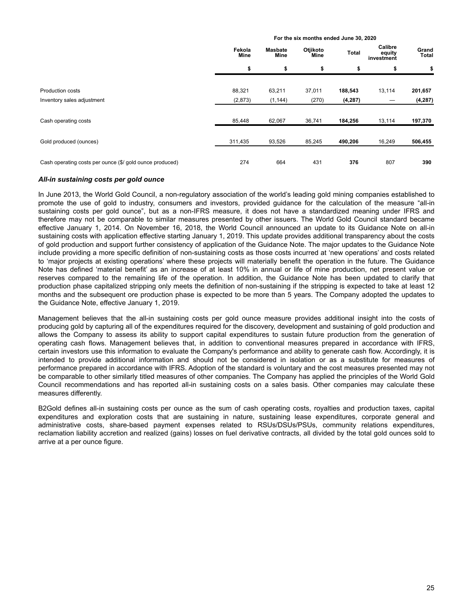|                                                          | Fekola<br><b>Mine</b> | <b>Masbate</b><br>Mine |        | <b>Total</b> | Calibre<br>equity<br>investment | Grand<br><b>Total</b> |
|----------------------------------------------------------|-----------------------|------------------------|--------|--------------|---------------------------------|-----------------------|
|                                                          | \$                    | \$                     | \$     | \$           | \$                              | \$                    |
| Production costs                                         | 88,321                | 63,211                 | 37,011 | 188,543      | 13,114                          | 201,657               |
| Inventory sales adjustment                               | (2,873)               | (1, 144)               | (270)  | (4, 287)     |                                 | (4, 287)              |
| Cash operating costs                                     | 85,448                | 62,067                 | 36,741 | 184,256      | 13,114                          | 197,370               |
| Gold produced (ounces)                                   | 311,435               | 93,526                 | 85,245 | 490,206      | 16,249                          | 506,455               |
| Cash operating costs per ounce (\$/ gold ounce produced) | 274                   | 664                    | 431    | 376          | 807                             | 390                   |

**For the six months ended June 30, 2020**

### *All-in sustaining costs per gold ounce*

In June 2013, the World Gold Council, a non-regulatory association of the world's leading gold mining companies established to promote the use of gold to industry, consumers and investors, provided guidance for the calculation of the measure "all-in sustaining costs per gold ounce", but as a non-IFRS measure, it does not have a standardized meaning under IFRS and therefore may not be comparable to similar measures presented by other issuers. The World Gold Council standard became effective January 1, 2014. On November 16, 2018, the World Council announced an update to its Guidance Note on all-in sustaining costs with application effective starting January 1, 2019. This update provides additional transparency about the costs of gold production and support further consistency of application of the Guidance Note. The major updates to the Guidance Note include providing a more specific definition of non-sustaining costs as those costs incurred at 'new operations' and costs related to 'major projects at existing operations' where these projects will materially benefit the operation in the future. The Guidance Note has defined 'material benefit' as an increase of at least 10% in annual or life of mine production, net present value or reserves compared to the remaining life of the operation. In addition, the Guidance Note has been updated to clarify that production phase capitalized stripping only meets the definition of non-sustaining if the stripping is expected to take at least 12 months and the subsequent ore production phase is expected to be more than 5 years. The Company adopted the updates to the Guidance Note, effective January 1, 2019.

Management believes that the all-in sustaining costs per gold ounce measure provides additional insight into the costs of producing gold by capturing all of the expenditures required for the discovery, development and sustaining of gold production and allows the Company to assess its ability to support capital expenditures to sustain future production from the generation of operating cash flows. Management believes that, in addition to conventional measures prepared in accordance with IFRS, certain investors use this information to evaluate the Company's performance and ability to generate cash flow. Accordingly, it is intended to provide additional information and should not be considered in isolation or as a substitute for measures of performance prepared in accordance with IFRS. Adoption of the standard is voluntary and the cost measures presented may not be comparable to other similarly titled measures of other companies. The Company has applied the principles of the World Gold Council recommendations and has reported all-in sustaining costs on a sales basis. Other companies may calculate these measures differently.

B2Gold defines all-in sustaining costs per ounce as the sum of cash operating costs, royalties and production taxes, capital expenditures and exploration costs that are sustaining in nature, sustaining lease expenditures, corporate general and administrative costs, share-based payment expenses related to RSUs/DSUs/PSUs, community relations expenditures, reclamation liability accretion and realized (gains) losses on fuel derivative contracts, all divided by the total gold ounces sold to arrive at a per ounce figure.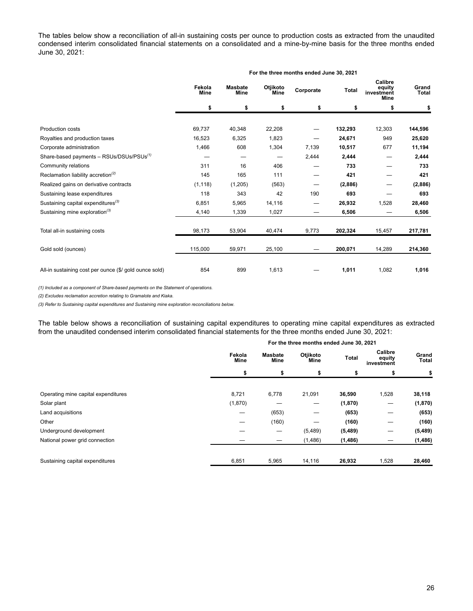The tables below show a reconciliation of all-in sustaining costs per ounce to production costs as extracted from the unaudited condensed interim consolidated financial statements on a consolidated and a mine-by-mine basis for the three months ended June 30, 2021:

|                                                        | For the three months ended June 30, 2021 |                               |                  |           |         |                                                |                       |  |  |
|--------------------------------------------------------|------------------------------------------|-------------------------------|------------------|-----------|---------|------------------------------------------------|-----------------------|--|--|
|                                                        | Fekola<br><b>Mine</b>                    | <b>Masbate</b><br><b>Mine</b> | Otjikoto<br>Mine | Corporate | Total   | Calibre<br>equity<br>investment<br><b>Mine</b> | Grand<br><b>Total</b> |  |  |
|                                                        | \$                                       | \$                            | \$               | \$        | \$      | S                                              | \$                    |  |  |
|                                                        |                                          |                               |                  |           |         |                                                |                       |  |  |
| Production costs                                       | 69,737                                   | 40,348                        | 22,208           |           | 132,293 | 12,303                                         | 144,596               |  |  |
| Royalties and production taxes                         | 16,523                                   | 6,325                         | 1,823            |           | 24,671  | 949                                            | 25,620                |  |  |
| Corporate administration                               | 1,466                                    | 608                           | 1,304            | 7,139     | 10,517  | 677                                            | 11,194                |  |  |
| Share-based payments - RSUs/DSUs/PSUs <sup>(1)</sup>   |                                          |                               |                  | 2,444     | 2,444   |                                                | 2,444                 |  |  |
| Community relations                                    | 311                                      | 16                            | 406              |           | 733     |                                                | 733                   |  |  |
| Reclamation liability accretion <sup>(2)</sup>         | 145                                      | 165                           | 111              |           | 421     |                                                | 421                   |  |  |
| Realized gains on derivative contracts                 | (1, 118)                                 | (1,205)                       | (563)            |           | (2,886) |                                                | (2,886)               |  |  |
| Sustaining lease expenditures                          | 118                                      | 343                           | 42               | 190       | 693     |                                                | 693                   |  |  |
| Sustaining capital expenditures <sup>(3)</sup>         | 6,851                                    | 5,965                         | 14,116           |           | 26,932  | 1,528                                          | 28,460                |  |  |
| Sustaining mine exploration <sup>(3)</sup>             | 4,140                                    | 1,339                         | 1,027            |           | 6,506   |                                                | 6,506                 |  |  |
| Total all-in sustaining costs                          | 98,173                                   | 53,904                        | 40,474           | 9,773     | 202,324 | 15,457                                         | 217,781               |  |  |
| Gold sold (ounces)                                     | 115,000                                  | 59,971                        | 25,100           |           | 200,071 | 14,289                                         | 214,360               |  |  |
| All-in sustaining cost per ounce (\$/ gold ounce sold) | 854                                      | 899                           | 1,613            |           | 1,011   | 1,082                                          | 1,016                 |  |  |

*(1) Included as a component of Share-based payments on the Statement of operations.* 

*(2) Excludes reclamation accretion relating to Gramalote and Kiaka.* 

*(3) Refer to Sustaining capital expenditures and Sustaining mine exploration reconciliations below.*

The table below shows a reconciliation of sustaining capital expenditures to operating mine capital expenditures as extracted from the unaudited condensed interim consolidated financial statements for the three months ended June 30, 2021:

|                                     | Fekola<br><b>Mine</b> | <b>Masbate</b><br>Mine | Otjikoto<br>Mine | Total    | Calibre<br>equity<br>investment | Grand<br>Total |
|-------------------------------------|-----------------------|------------------------|------------------|----------|---------------------------------|----------------|
|                                     | \$                    | \$                     | \$               | \$       | \$                              | \$             |
|                                     |                       |                        |                  |          |                                 |                |
| Operating mine capital expenditures | 8,721                 | 6,778                  | 21,091           | 36,590   | 1,528                           | 38,118         |
| Solar plant                         | (1,870)               |                        |                  | (1, 870) | –                               | (1,870)        |
| Land acquisitions                   |                       | (653)                  |                  | (653)    |                                 | (653)          |
| Other                               | -                     | (160)                  |                  | (160)    |                                 | (160)          |
| Underground development             |                       |                        | (5,489)          | (5, 489) | –                               | (5, 489)       |
| National power grid connection      |                       |                        | (1,486)          | (1, 486) |                                 | (1, 486)       |
|                                     |                       |                        |                  |          |                                 |                |
| Sustaining capital expenditures     | 6,851                 | 5,965                  | 14,116           | 26,932   | 1,528                           | 28,460         |

#### **For the three months ended June 30, 2021**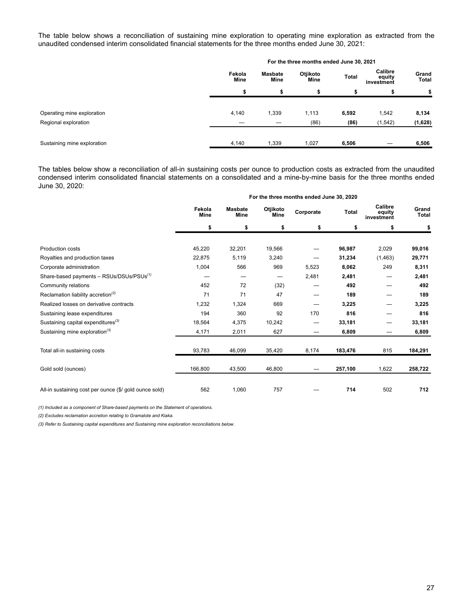The table below shows a reconciliation of sustaining mine exploration to operating mine exploration as extracted from the unaudited condensed interim consolidated financial statements for the three months ended June 30, 2021:

|                             |                       | For the three months ended June 30, 2021 |                  |       |                                 |                |  |  |  |  |
|-----------------------------|-----------------------|------------------------------------------|------------------|-------|---------------------------------|----------------|--|--|--|--|
|                             | Fekola<br><b>Mine</b> | Masbate<br>Mine                          | Otjikoto<br>Mine | Total | Calibre<br>equity<br>investment | Grand<br>Total |  |  |  |  |
|                             |                       |                                          |                  | S     |                                 |                |  |  |  |  |
| Operating mine exploration  | 4,140                 | 1,339                                    | 1,113            | 6,592 | 1,542                           | 8,134          |  |  |  |  |
| Regional exploration        |                       |                                          | (86)             | (86)  | (1, 542)                        | (1,628)        |  |  |  |  |
| Sustaining mine exploration | 4,140                 | 1,339                                    | 1,027            | 6,506 |                                 | 6,506          |  |  |  |  |

The tables below show a reconciliation of all-in sustaining costs per ounce to production costs as extracted from the unaudited condensed interim consolidated financial statements on a consolidated and a mine-by-mine basis for the three months ended June 30, 2020:

|                                                        | For the three months ended June 30, 2020 |                               |                         |           |              |                                 |                       |  |  |
|--------------------------------------------------------|------------------------------------------|-------------------------------|-------------------------|-----------|--------------|---------------------------------|-----------------------|--|--|
|                                                        | Fekola<br><b>Mine</b>                    | <b>Masbate</b><br><b>Mine</b> | Otjikoto<br><b>Mine</b> | Corporate | <b>Total</b> | Calibre<br>equity<br>investment | Grand<br><b>Total</b> |  |  |
|                                                        | \$                                       | \$                            | \$                      | \$        | \$           | \$                              | \$                    |  |  |
|                                                        |                                          |                               |                         |           |              |                                 |                       |  |  |
| Production costs                                       | 45,220                                   | 32,201                        | 19,566                  |           | 96,987       | 2,029                           | 99,016                |  |  |
| Royalties and production taxes                         | 22,875                                   | 5,119                         | 3,240                   |           | 31,234       | (1, 463)                        | 29,771                |  |  |
| Corporate administration                               | 1,004                                    | 566                           | 969                     | 5,523     | 8,062        | 249                             | 8,311                 |  |  |
| Share-based payments - RSUs/DSUs/PSUs <sup>(1)</sup>   |                                          |                               | —                       | 2,481     | 2,481        |                                 | 2,481                 |  |  |
| Community relations                                    | 452                                      | 72                            | (32)                    |           | 492          |                                 | 492                   |  |  |
| Reclamation liability accretion <sup>(2)</sup>         | 71                                       | 71                            | 47                      |           | 189          |                                 | 189                   |  |  |
| Realized losses on derivative contracts                | 1,232                                    | 1,324                         | 669                     |           | 3,225        |                                 | 3,225                 |  |  |
| Sustaining lease expenditures                          | 194                                      | 360                           | 92                      | 170       | 816          |                                 | 816                   |  |  |
| Sustaining capital expenditures <sup>(3)</sup>         | 18,564                                   | 4,375                         | 10,242                  |           | 33,181       |                                 | 33,181                |  |  |
| Sustaining mine exploration $(3)$                      | 4,171                                    | 2,011                         | 627                     |           | 6,809        |                                 | 6,809                 |  |  |
| Total all-in sustaining costs                          | 93,783                                   | 46,099                        | 35,420                  | 8,174     | 183,476      | 815                             | 184,291               |  |  |
| Gold sold (ounces)                                     | 166,800                                  | 43,500                        | 46,800                  |           | 257,100      | 1,622                           | 258,722               |  |  |
| All-in sustaining cost per ounce (\$/ gold ounce sold) | 562                                      | 1,060                         | 757                     |           | 714          | 502                             | 712                   |  |  |

*(1) Included as a component of Share-based payments on the Statement of operations.* 

*(2) Excludes reclamation accretion relating to Gramalote and Kiaka.* 

*(3) Refer to Sustaining capital expenditures and Sustaining mine exploration reconciliations below.*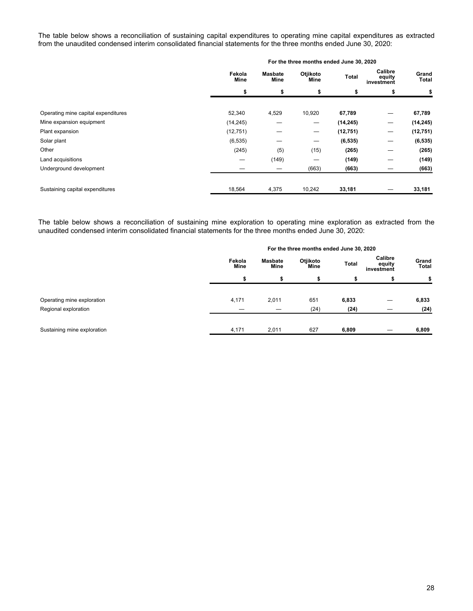The table below shows a reconciliation of sustaining capital expenditures to operating mine capital expenditures as extracted from the unaudited condensed interim consolidated financial statements for the three months ended June 30, 2020:

|                                     | For the three months ended June 30, 2020 |                 |                                 |           |                                 |                       |  |  |
|-------------------------------------|------------------------------------------|-----------------|---------------------------------|-----------|---------------------------------|-----------------------|--|--|
|                                     | Fekola<br><b>Mine</b>                    | Masbate<br>Mine | Otjikoto<br>Mine                | Total     | Calibre<br>equity<br>investment | Grand<br><b>Total</b> |  |  |
|                                     | \$                                       | \$              | \$                              | \$        | \$                              | \$                    |  |  |
|                                     |                                          |                 |                                 |           |                                 |                       |  |  |
| Operating mine capital expenditures | 52,340                                   | 4,529           | 10,920                          | 67,789    |                                 | 67,789                |  |  |
| Mine expansion equipment            | (14, 245)                                |                 | $\hspace{0.1mm}-\hspace{0.1mm}$ | (14, 245) | $\hspace{0.1mm}-\hspace{0.1mm}$ | (14, 245)             |  |  |
| Plant expansion                     | (12, 751)                                |                 | —                               | (12, 751) | —                               | (12, 751)             |  |  |
| Solar plant                         | (6, 535)                                 |                 |                                 | (6, 535)  |                                 | (6, 535)              |  |  |
| Other                               | (245)                                    | (5)             | (15)                            | (265)     |                                 | (265)                 |  |  |
| Land acquisitions                   |                                          | (149)           |                                 | (149)     |                                 | (149)                 |  |  |
| Underground development             |                                          |                 | (663)                           | (663)     |                                 | (663)                 |  |  |
| Sustaining capital expenditures     | 18,564                                   | 4,375           | 10,242                          | 33,181    |                                 | 33,181                |  |  |

The table below shows a reconciliation of sustaining mine exploration to operating mine exploration as extracted from the unaudited condensed interim consolidated financial statements for the three months ended June 30, 2020:

|                             |                       | For the three months ended June 30, 2020 |                  |              |                                 |                |  |  |  |
|-----------------------------|-----------------------|------------------------------------------|------------------|--------------|---------------------------------|----------------|--|--|--|
|                             | Fekola<br><b>Mine</b> | Masbate<br>Mine                          | Otjikoto<br>Mine | <b>Total</b> | Calibre<br>equity<br>investment | Grand<br>Total |  |  |  |
|                             | \$                    | D.                                       | æ                | ъ            |                                 | \$             |  |  |  |
| Operating mine exploration  | 4,171                 | 2,011                                    | 651              | 6,833        | _                               | 6,833          |  |  |  |
| Regional exploration        |                       |                                          | (24)             | (24)         |                                 | (24)           |  |  |  |
| Sustaining mine exploration | 4,171                 | 2,011                                    | 627              | 6,809        |                                 | 6,809          |  |  |  |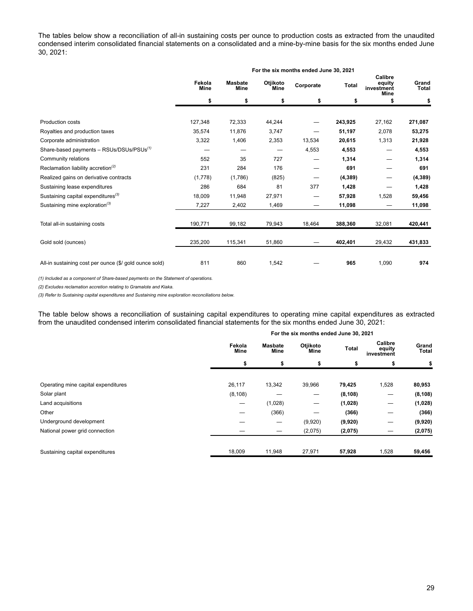The tables below show a reconciliation of all-in sustaining costs per ounce to production costs as extracted from the unaudited condensed interim consolidated financial statements on a consolidated and a mine-by-mine basis for the six months ended June 30, 2021:

|                                                        | For the six months ended June 30, 2021 |                               |                         |           |          |                                                |                       |  |  |
|--------------------------------------------------------|----------------------------------------|-------------------------------|-------------------------|-----------|----------|------------------------------------------------|-----------------------|--|--|
|                                                        | Fekola<br>Mine                         | <b>Masbate</b><br><b>Mine</b> | Otjikoto<br><b>Mine</b> | Corporate | Total    | Calibre<br>equity<br>investment<br><b>Mine</b> | Grand<br><b>Total</b> |  |  |
|                                                        | \$                                     | \$                            | \$                      | \$        | \$       |                                                | \$                    |  |  |
| <b>Production costs</b>                                | 127,348                                | 72,333                        | 44,244                  |           | 243,925  | 27,162                                         | 271,087               |  |  |
| Royalties and production taxes                         | 35,574                                 | 11,876                        | 3,747                   |           | 51,197   | 2,078                                          | 53,275                |  |  |
| Corporate administration                               | 3,322                                  | 1,406                         | 2,353                   | 13,534    | 20,615   | 1,313                                          | 21,928                |  |  |
| Share-based payments - RSUs/DSUs/PSUs <sup>(1)</sup>   |                                        |                               |                         | 4,553     | 4,553    |                                                | 4,553                 |  |  |
| Community relations                                    | 552                                    | 35                            | 727                     |           | 1,314    |                                                | 1,314                 |  |  |
| Reclamation liability accretion <sup>(2)</sup>         | 231                                    | 284                           | 176                     |           | 691      |                                                | 691                   |  |  |
| Realized gains on derivative contracts                 | (1,778)                                | (1,786)                       | (825)                   |           | (4, 389) | $\hspace{0.1mm}-\hspace{0.1mm}$                | (4, 389)              |  |  |
| Sustaining lease expenditures                          | 286                                    | 684                           | 81                      | 377       | 1,428    |                                                | 1,428                 |  |  |
| Sustaining capital expenditures <sup>(3)</sup>         | 18,009                                 | 11,948                        | 27,971                  |           | 57,928   | 1,528                                          | 59,456                |  |  |
| Sustaining mine exploration <sup>(3)</sup>             | 7,227                                  | 2,402                         | 1,469                   |           | 11,098   |                                                | 11,098                |  |  |
| Total all-in sustaining costs                          | 190,771                                | 99,182                        | 79,943                  | 18,464    | 388,360  | 32,081                                         | 420,441               |  |  |
| Gold sold (ounces)                                     | 235,200                                | 115,341                       | 51,860                  |           | 402,401  | 29,432                                         | 431,833               |  |  |
| All-in sustaining cost per ounce (\$/ gold ounce sold) | 811                                    | 860                           | 1,542                   |           | 965      | 1,090                                          | 974                   |  |  |

*(1) Included as a component of Share-based payments on the Statement of operations.* 

*(2) Excludes reclamation accretion relating to Gramalote and Kiaka.* 

*(3) Refer to Sustaining capital expenditures and Sustaining mine exploration reconciliations below.*

The table below shows a reconciliation of sustaining capital expenditures to operating mine capital expenditures as extracted from the unaudited condensed interim consolidated financial statements for the six months ended June 30, 2021:

|                                     | For the six months ended June 30, 2021 |                               |                  |          |                                 |                       |  |  |  |
|-------------------------------------|----------------------------------------|-------------------------------|------------------|----------|---------------------------------|-----------------------|--|--|--|
|                                     | Fekola<br>Mine                         | <b>Masbate</b><br><b>Mine</b> | Otjikoto<br>Mine | Total    | Calibre<br>equity<br>investment | Grand<br><b>Total</b> |  |  |  |
|                                     | \$                                     | \$                            | \$               | \$       | \$                              | \$                    |  |  |  |
| Operating mine capital expenditures | 26,117                                 | 13,342                        | 39,966           | 79,425   | 1,528                           | 80,953                |  |  |  |
| Solar plant                         | (8, 108)                               |                               | –                | (8, 108) |                                 | (8, 108)              |  |  |  |
| Land acquisitions                   |                                        | (1,028)                       |                  | (1,028)  | —                               | (1,028)               |  |  |  |
| Other                               | –                                      | (366)                         |                  | (366)    |                                 | (366)                 |  |  |  |
| Underground development             |                                        | —                             | (9,920)          | (9,920)  | –                               | (9,920)               |  |  |  |
| National power grid connection      |                                        | —                             | (2,075)          | (2,075)  |                                 | (2,075)               |  |  |  |
| Sustaining capital expenditures     | 18,009                                 | 11,948                        | 27,971           | 57,928   | 1,528                           | 59,456                |  |  |  |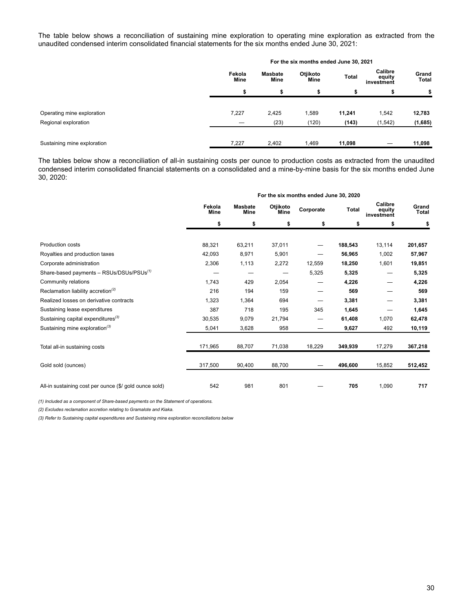The table below shows a reconciliation of sustaining mine exploration to operating mine exploration as extracted from the unaudited condensed interim consolidated financial statements for the six months ended June 30, 2021:

|                             |                | For the six months ended June 30, 2021 |                  |        |                                      |                             |  |  |  |
|-----------------------------|----------------|----------------------------------------|------------------|--------|--------------------------------------|-----------------------------|--|--|--|
|                             | Fekola<br>Mine | Masbate<br>Mine                        | Otjikoto<br>Mine | Total  | Calibre<br>equity<br>investment<br>ъ | Grand<br><b>Total</b><br>\$ |  |  |  |
|                             | ъ              | \$                                     | ъ                | \$     |                                      |                             |  |  |  |
| Operating mine exploration  | 7,227          | 2,425                                  | 1,589            | 11,241 | 1,542                                | 12,783                      |  |  |  |
| Regional exploration        |                | (23)                                   | (120)            | (143)  | (1, 542)                             | (1,685)                     |  |  |  |
| Sustaining mine exploration | 7,227          | 2,402                                  | 1,469            | 11,098 |                                      | 11,098                      |  |  |  |

The tables below show a reconciliation of all-in sustaining costs per ounce to production costs as extracted from the unaudited condensed interim consolidated financial statements on a consolidated and a mine-by-mine basis for the six months ended June 30, 2020:

|                                                        | For the six months ended June 30, 2020 |                               |                  |           |              |        |                |  |  |
|--------------------------------------------------------|----------------------------------------|-------------------------------|------------------|-----------|--------------|--------|----------------|--|--|
|                                                        | Fekola<br><b>Mine</b>                  | <b>Masbate</b><br><b>Mine</b> | Otjikoto<br>Mine | Corporate | <b>Total</b> |        | Grand<br>Total |  |  |
|                                                        | \$                                     | \$                            | \$               | \$        | \$           | \$     | \$             |  |  |
|                                                        |                                        |                               |                  |           |              |        |                |  |  |
| Production costs                                       | 88,321                                 | 63,211                        | 37,011           |           | 188,543      | 13,114 | 201,657        |  |  |
| Royalties and production taxes                         | 42,093                                 | 8,971                         | 5,901            |           | 56,965       | 1,002  | 57,967         |  |  |
| Corporate administration                               | 2,306                                  | 1,113                         | 2,272            | 12,559    | 18,250       | 1,601  | 19,851         |  |  |
| Share-based payments - RSUs/DSUs/PSUs <sup>(1)</sup>   |                                        |                               |                  | 5,325     | 5,325        |        | 5,325          |  |  |
| Community relations                                    | 1,743                                  | 429                           | 2,054            |           | 4,226        |        | 4,226          |  |  |
| Reclamation liability accretion <sup>(2)</sup>         | 216                                    | 194                           | 159              |           | 569          |        | 569            |  |  |
| Realized losses on derivative contracts                | 1,323                                  | 1,364                         | 694              |           | 3,381        | —      | 3,381          |  |  |
| Sustaining lease expenditures                          | 387                                    | 718                           | 195              | 345       | 1,645        |        | 1,645          |  |  |
| Sustaining capital expenditures <sup>(3)</sup>         | 30,535                                 | 9,079                         | 21,794           |           | 61,408       | 1,070  | 62,478         |  |  |
| Sustaining mine exploration <sup>(3)</sup>             | 5,041                                  | 3,628                         | 958              |           | 9,627        | 492    | 10,119         |  |  |
| Total all-in sustaining costs                          | 171,965                                | 88,707                        | 71,038           | 18,229    | 349,939      | 17,279 | 367,218        |  |  |
| Gold sold (ounces)                                     | 317,500                                | 90,400                        | 88,700           |           | 496,600      | 15,852 | 512,452        |  |  |
| All-in sustaining cost per ounce (\$/ gold ounce sold) | 542                                    | 981                           | 801              |           | 705          | 1,090  | 717            |  |  |

*(1) Included as a component of Share-based payments on the Statement of operations.* 

*(2) Excludes reclamation accretion relating to Gramalote and Kiaka.* 

*(3) Refer to Sustaining capital expenditures and Sustaining mine exploration reconciliations below*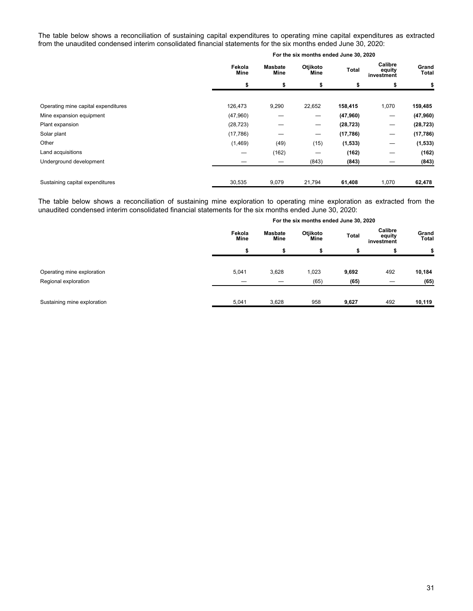The table below shows a reconciliation of sustaining capital expenditures to operating mine capital expenditures as extracted from the unaudited condensed interim consolidated financial statements for the six months ended June 30, 2020:

|                                     | Fekola<br><b>Mine</b> | <b>Masbate</b><br>Mine | Otjikoto<br>Mine               | Total     | Calibre<br>equity<br>investment | Grand<br><b>Total</b> |
|-------------------------------------|-----------------------|------------------------|--------------------------------|-----------|---------------------------------|-----------------------|
|                                     | \$                    | \$                     | \$                             | \$        | \$                              | \$                    |
| Operating mine capital expenditures | 126,473               | 9,290                  | 22,652                         | 158,415   | 1,070                           | 159,485               |
| Mine expansion equipment            | (47,960)              |                        | —                              | (47, 960) |                                 | (47,960)              |
| Plant expansion                     | (28, 723)             |                        | $\qquad \qquad -$              | (28, 723) | $\qquad \qquad -$               | (28, 723)             |
| Solar plant                         | (17, 786)             |                        | $\qquad \qquad \longleftarrow$ | (17,786)  |                                 | (17, 786)             |
| Other                               | (1,469)               | (49)                   | (15)                           | (1, 533)  |                                 | (1, 533)              |
| Land acquisitions                   |                       | (162)                  |                                | (162)     |                                 | (162)                 |
| Underground development             |                       |                        | (843)                          | (843)     |                                 | (843)                 |
| Sustaining capital expenditures     | 30,535                | 9,079                  | 21,794                         | 61,408    | 1,070                           | 62,478                |

**For the six months ended June 30, 2020**

The table below shows a reconciliation of sustaining mine exploration to operating mine exploration as extracted from the unaudited condensed interim consolidated financial statements for the six months ended June 30, 2020:

|                             |                       | For the six months ended June 30, 2020 |                  |       |                                 |                       |  |  |
|-----------------------------|-----------------------|----------------------------------------|------------------|-------|---------------------------------|-----------------------|--|--|
|                             | Fekola<br><b>Mine</b> | Masbate<br>Mine                        | Otjikoto<br>Mine | Total | Calibre<br>equity<br>investment | Grand<br><b>Total</b> |  |  |
|                             | ъ                     | ъ                                      | ъ                | ж     |                                 | \$                    |  |  |
| Operating mine exploration  | 5,041                 | 3,628                                  | 1,023            | 9,692 | 492                             | 10,184                |  |  |
| Regional exploration        |                       |                                        | (65)             | (65)  |                                 | (65)                  |  |  |
|                             |                       |                                        |                  |       |                                 |                       |  |  |
| Sustaining mine exploration | 5,041                 | 3,628                                  | 958              | 9,627 | 492                             | 10,119                |  |  |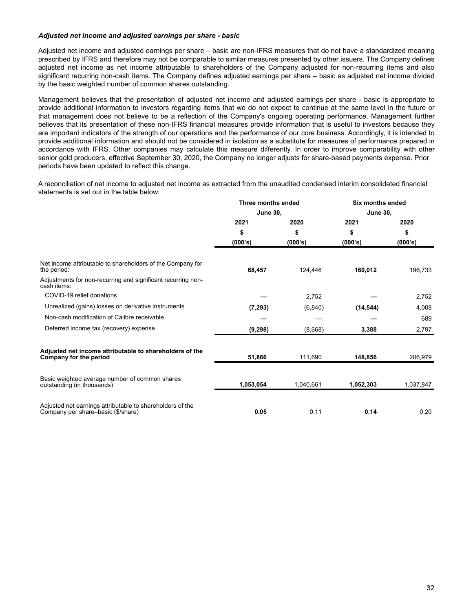### *Adjusted net income and adjusted earnings per share - basic*

Adjusted net income and adjusted earnings per share – basic are non-IFRS measures that do not have a standardized meaning prescribed by IFRS and therefore may not be comparable to similar measures presented by other issuers. The Company defines adjusted net income as net income attributable to shareholders of the Company adjusted for non-recurring items and also significant recurring non-cash items. The Company defines adjusted earnings per share – basic as adjusted net income divided by the basic weighted number of common shares outstanding.

Management believes that the presentation of adjusted net income and adjusted earnings per share - basic is appropriate to provide additional information to investors regarding items that we do not expect to continue at the same level in the future or that management does not believe to be a reflection of the Company's ongoing operating performance. Management further believes that its presentation of these non-IFRS financial measures provide information that is useful to investors because they are important indicators of the strength of our operations and the performance of our core business. Accordingly, it is intended to provide additional information and should not be considered in isolation as a substitute for measures of performance prepared in accordance with IFRS. Other companies may calculate this measure differently. In order to improve comparability with other senior gold producers, effective September 30, 2020, the Company no longer adjusts for share-based payments expense. Prior periods have been updated to reflect this change.

A reconciliation of net income to adjusted net income as extracted from the unaudited condensed interim consolidated financial statements is set out in the table below:

|                                                                                                 | Three months ended |           | <b>Six months ended</b> |           |  |  |
|-------------------------------------------------------------------------------------------------|--------------------|-----------|-------------------------|-----------|--|--|
|                                                                                                 | <b>June 30,</b>    |           | <b>June 30,</b>         |           |  |  |
|                                                                                                 | 2021               | 2020      | 2021                    | 2020      |  |  |
|                                                                                                 | \$                 | \$        | \$                      | \$        |  |  |
|                                                                                                 | (000's)            | (000's)   | (000's)                 | (000's)   |  |  |
| Net income attributable to shareholders of the Company for<br>the period:                       | 68,457             | 124.446   | 160,012                 | 196,733   |  |  |
| Adjustments for non-recurring and significant recurring non-<br>cash items:                     |                    |           |                         |           |  |  |
| COVID-19 relief donations                                                                       |                    | 2,752     |                         | 2,752     |  |  |
| Unrealized (gains) losses on derivative instruments                                             | (7, 293)           | (6, 840)  | (14, 544)               | 4,008     |  |  |
| Non-cash modification of Calibre receivable                                                     |                    |           |                         | 689       |  |  |
| Deferred income tax (recovery) expense                                                          | (9,298)            | (8,668)   | 3,388                   | 2,797     |  |  |
| Adjusted net income attributable to shareholders of the<br>Company for the period               | 51.866             | 111.690   | 148.856                 | 206,979   |  |  |
| Basic weighted average number of common shares<br>outstanding (in thousands)                    | 1,053,054          | 1.040.661 | 1,052,303               | 1,037,847 |  |  |
| Adjusted net earnings attributable to shareholders of the<br>Company per share-basic (\$/share) | 0.05               | 0.11      | 0.14                    | 0.20      |  |  |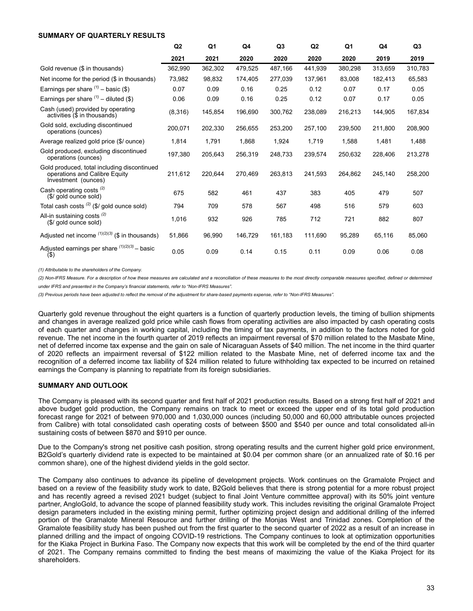### <span id="page-32-0"></span>**SUMMARY OF QUARTERLY RESULTS**

|                                                                                                     | Q2      | Q <sub>1</sub> | Q4      | Q <sub>3</sub> | Q2      | Q <sub>1</sub> | Q4      | Q3      |
|-----------------------------------------------------------------------------------------------------|---------|----------------|---------|----------------|---------|----------------|---------|---------|
|                                                                                                     | 2021    | 2021           | 2020    | 2020           | 2020    | 2020           | 2019    | 2019    |
| Gold revenue (\$ in thousands)                                                                      | 362,990 | 362,302        | 479,525 | 487,166        | 441,939 | 380,298        | 313.659 | 310,783 |
| Net income for the period (\$ in thousands)                                                         | 73,982  | 98,832         | 174,405 | 277,039        | 137,961 | 83,008         | 182,413 | 65,583  |
| Earnings per share $(1)$ – basic (\$)                                                               | 0.07    | 0.09           | 0.16    | 0.25           | 0.12    | 0.07           | 0.17    | 0.05    |
| Earnings per share $(1)$ – diluted (\$)                                                             | 0.06    | 0.09           | 0.16    | 0.25           | 0.12    | 0.07           | 0.17    | 0.05    |
| Cash (used) provided by operating<br>activities (\$ in thousands)                                   | (8,316) | 145,854        | 196,690 | 300,762        | 238,089 | 216,213        | 144,905 | 167,834 |
| Gold sold, excluding discontinued<br>operations (ounces)                                            | 200,071 | 202,330        | 256.655 | 253,200        | 257,100 | 239.500        | 211.800 | 208,900 |
| Average realized gold price (\$/ ounce)                                                             | 1,814   | 1,791          | 1,868   | 1,924          | 1,719   | 1,588          | 1,481   | 1,488   |
| Gold produced, excluding discontinued<br>operations (ounces)                                        | 197,380 | 205,643        | 256,319 | 248,733        | 239,574 | 250,632        | 228,406 | 213,278 |
| Gold produced, total including discontinued<br>operations and Calibre Equity<br>Investment (ounces) | 211,612 | 220,644        | 270,469 | 263.813        | 241,593 | 264.862        | 245,140 | 258,200 |
| Cash operating costs <sup>(2)</sup><br>(\$/ gold ounce sold)                                        | 675     | 582            | 461     | 437            | 383     | 405            | 479     | 507     |
| Total cash costs <sup>(2)</sup> (\$/ gold ounce sold)                                               | 794     | 709            | 578     | 567            | 498     | 516            | 579     | 603     |
| All-in sustaining costs <sup>(2)</sup><br>(\$/ gold ounce sold)                                     | 1,016   | 932            | 926     | 785            | 712     | 721            | 882     | 807     |
| Adjusted net income $(1)(2)(3)$ (\$ in thousands)                                                   | 51,866  | 96,990         | 146,729 | 161,183        | 111,690 | 95,289         | 65,116  | 85,060  |
| Adjusted earnings per share (1)(2)(3) - basic<br>$($ \$)                                            | 0.05    | 0.09           | 0.14    | 0.15           | 0.11    | 0.09           | 0.06    | 0.08    |

*(1) Attributable to the shareholders of the Company.*

<sup>(2)</sup> Non-IFRS Measure. For a description of how these measures are calculated and a reconciliation of these measures to the most directly comparable measures specified, defined or determined *under IFRS and presented in the Company's financial statements, refer to "Non-IFRS Measures".*

*(3) Previous periods have been adjusted to reflect the removal of the adjustment for share-based payments expense, refer to "Non-IFRS Measures".*

Quarterly gold revenue throughout the eight quarters is a function of quarterly production levels, the timing of bullion shipments and changes in average realized gold price while cash flows from operating activities are also impacted by cash operating costs of each quarter and changes in working capital, including the timing of tax payments, in addition to the factors noted for gold revenue. The net income in the fourth quarter of 2019 reflects an impairment reversal of \$70 million related to the Masbate Mine, net of deferred income tax expense and the gain on sale of Nicaraguan Assets of \$40 million. The net income in the third quarter of 2020 reflects an impairment reversal of \$122 million related to the Masbate Mine, net of deferred income tax and the recognition of a deferred income tax liability of \$24 million related to future withholding tax expected to be incurred on retained earnings the Company is planning to repatriate from its foreign subsidiaries.

### **SUMMARY AND OUTLOOK**

The Company is pleased with its second quarter and first half of 2021 production results. Based on a strong first half of 2021 and above budget gold production, the Company remains on track to meet or exceed the upper end of its total gold production forecast range for 2021 of between 970,000 and 1,030,000 ounces (including 50,000 and 60,000 attributable ounces projected from Calibre) with total consolidated cash operating costs of between \$500 and \$540 per ounce and total consolidated all-in sustaining costs of between \$870 and \$910 per ounce.

Due to the Company's strong net positive cash position, strong operating results and the current higher gold price environment, B2Gold's quarterly dividend rate is expected to be maintained at \$0.04 per common share (or an annualized rate of \$0.16 per common share), one of the highest dividend yields in the gold sector.

The Company also continues to advance its pipeline of development projects. Work continues on the Gramalote Project and based on a review of the feasibility study work to date, B2Gold believes that there is strong potential for a more robust project and has recently agreed a revised 2021 budget (subject to final Joint Venture committee approval) with its 50% joint venture partner, AngloGold, to advance the scope of planned feasibility study work. This includes revisiting the original Gramalote Project design parameters included in the existing mining permit, further optimizing project design and additional drilling of the inferred portion of the Gramalote Mineral Resource and further drilling of the Monjas West and Trinidad zones. Completion of the Gramalote feasibility study has been pushed out from the first quarter to the second quarter of 2022 as a result of an increase in planned drilling and the impact of ongoing COVID-19 restrictions. The Company continues to look at optimization opportunities for the Kiaka Project in Burkina Faso. The Company now expects that this work will be completed by the end of the third quarter of 2021. The Company remains committed to finding the best means of maximizing the value of the Kiaka Project for its shareholders.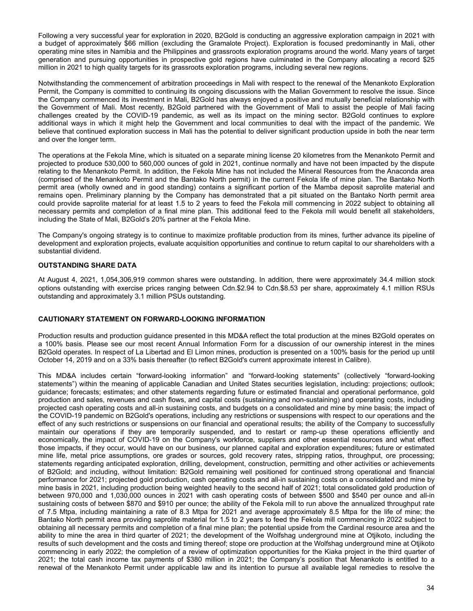<span id="page-33-0"></span>Following a very successful year for exploration in 2020, B2Gold is conducting an aggressive exploration campaign in 2021 with a budget of approximately \$66 million (excluding the Gramalote Project). Exploration is focused predominantly in Mali, other operating mine sites in Namibia and the Philippines and grassroots exploration programs around the world. Many years of target generation and pursuing opportunities in prospective gold regions have culminated in the Company allocating a record \$25 million in 2021 to high quality targets for its grassroots exploration programs, including several new regions.

Notwithstanding the commencement of arbitration proceedings in Mali with respect to the renewal of the Menankoto Exploration Permit, the Company is committed to continuing its ongoing discussions with the Malian Government to resolve the issue. Since the Company commenced its investment in Mali, B2Gold has always enjoyed a positive and mutually beneficial relationship with the Government of Mali. Most recently, B2Gold partnered with the Government of Mali to assist the people of Mali facing challenges created by the COVID-19 pandemic, as well as its impact on the mining sector. B2Gold continues to explore additional ways in which it might help the Government and local communities to deal with the impact of the pandemic. We believe that continued exploration success in Mali has the potential to deliver significant production upside in both the near term and over the longer term.

The operations at the Fekola Mine, which is situated on a separate mining license 20 kilometres from the Menankoto Permit and projected to produce 530,000 to 560,000 ounces of gold in 2021, continue normally and have not been impacted by the dispute relating to the Menankoto Permit. In addition, the Fekola Mine has not included the Mineral Resources from the Anaconda area (comprised of the Menankoto Permit and the Bantako North permit) in the current Fekola life of mine plan. The Bantako North permit area (wholly owned and in good standing) contains a significant portion of the Mamba deposit saprolite material and remains open. Preliminary planning by the Company has demonstrated that a pit situated on the Bantako North permit area could provide saprolite material for at least 1.5 to 2 years to feed the Fekola mill commencing in 2022 subject to obtaining all necessary permits and completion of a final mine plan. This additional feed to the Fekola mill would benefit all stakeholders, including the State of Mali, B2Gold's 20% partner at the Fekola Mine.

The Company's ongoing strategy is to continue to maximize profitable production from its mines, further advance its pipeline of development and exploration projects, evaluate acquisition opportunities and continue to return capital to our shareholders with a substantial dividend.

## **OUTSTANDING SHARE DATA**

At August 4, 2021, 1,054,306,919 common shares were outstanding. In addition, there were approximately 34.4 million stock options outstanding with exercise prices ranging between Cdn.\$2.94 to Cdn.\$8.53 per share, approximately 4.1 million RSUs outstanding and approximately 3.1 million PSUs outstanding.

## **CAUTIONARY STATEMENT ON FORWARD-LOOKING INFORMATION**

Production results and production guidance presented in this MD&A reflect the total production at the mines B2Gold operates on a 100% basis. Please see our most recent Annual Information Form for a discussion of our ownership interest in the mines B2Gold operates. In respect of La Libertad and El Limon mines, production is presented on a 100% basis for the period up until October 14, 2019 and on a 33% basis thereafter (to reflect B2Gold's current approximate interest in Calibre).

This MD&A includes certain "forward-looking information" and "forward-looking statements" (collectively "forward-looking statements") within the meaning of applicable Canadian and United States securities legislation, including: projections; outlook; guidance; forecasts; estimates; and other statements regarding future or estimated financial and operational performance, gold production and sales, revenues and cash flows, and capital costs (sustaining and non-sustaining) and operating costs, including projected cash operating costs and all-in sustaining costs, and budgets on a consolidated and mine by mine basis; the impact of the COVID-19 pandemic on B2Gold's operations, including any restrictions or suspensions with respect to our operations and the effect of any such restrictions or suspensions on our financial and operational results; the ability of the Company to successfully maintain our operations if they are temporarily suspended, and to restart or ramp-up these operations efficiently and economically, the impact of COVID-19 on the Company's workforce, suppliers and other essential resources and what effect those impacts, if they occur, would have on our business, our planned capital and exploration expenditures; future or estimated mine life, metal price assumptions, ore grades or sources, gold recovery rates, stripping ratios, throughput, ore processing; statements regarding anticipated exploration, drilling, development, construction, permitting and other activities or achievements of B2Gold; and including, without limitation: B2Gold remaining well positioned for continued strong operational and financial performance for 2021; projected gold production, cash operating costs and all-in sustaining costs on a consolidated and mine by mine basis in 2021, including production being weighted heavily to the second half of 2021; total consolidated gold production of between 970,000 and 1,030,000 ounces in 2021 with cash operating costs of between \$500 and \$540 per ounce and all-in sustaining costs of between \$870 and \$910 per ounce; the ability of the Fekola mill to run above the annualized throughput rate of 7.5 Mtpa, including maintaining a rate of 8.3 Mtpa for 2021 and average approximately 8.5 Mtpa for the life of mine; the Bantako North permit area providing saprolite material for 1.5 to 2 years to feed the Fekola mill commencing in 2022 subject to obtaining all necessary permits and completion of a final mine plan; the potential upside from the Cardinal resource area and the ability to mine the area in third quarter of 2021; the development of the Wolfshag underground mine at Otjikoto, including the results of such development and the costs and timing thereof; stope ore production at the Wolfshag underground mine at Otjikoto commencing in early 2022; the completion of a review of optimization opportunities for the Kiaka project in the third quarter of 2021; the total cash income tax payments of \$380 million in 2021; the Company's position that Menankoto is entitled to a renewal of the Menankoto Permit under applicable law and its intention to pursue all available legal remedies to resolve the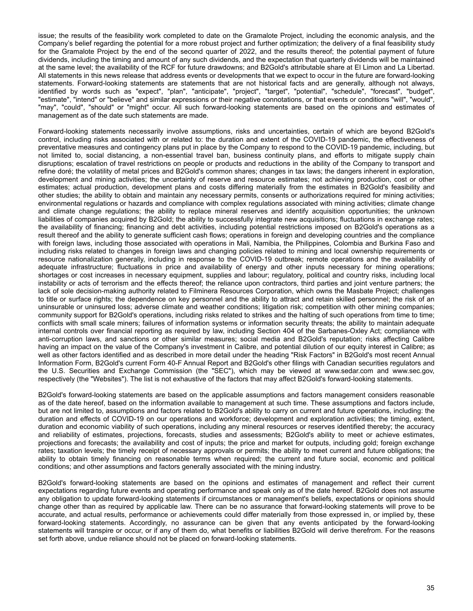issue; the results of the feasibility work completed to date on the Gramalote Project, including the economic analysis, and the Company's belief regarding the potential for a more robust project and further optimization; the delivery of a final feasibility study for the Gramalote Project by the end of the second quarter of 2022, and the results thereof; the potential payment of future dividends, including the timing and amount of any such dividends, and the expectation that quarterly dividends will be maintained at the same level; the availability of the RCF for future drawdowns; and B2Gold's attributable share at El Limon and La Libertad. All statements in this news release that address events or developments that we expect to occur in the future are forward-looking statements. Forward-looking statements are statements that are not historical facts and are generally, although not always, identified by words such as "expect", "plan", "anticipate", "project", "target", "potential", "schedule", "forecast", "budget", "estimate", "intend" or "believe" and similar expressions or their negative connotations, or that events or conditions "will", "would", "may", "could", "should" or "might" occur. All such forward-looking statements are based on the opinions and estimates of management as of the date such statements are made.

Forward-looking statements necessarily involve assumptions, risks and uncertainties, certain of which are beyond B2Gold's control, including risks associated with or related to: the duration and extent of the COVID-19 pandemic, the effectiveness of preventative measures and contingency plans put in place by the Company to respond to the COVID-19 pandemic, including, but not limited to, social distancing, a non-essential travel ban, business continuity plans, and efforts to mitigate supply chain disruptions; escalation of travel restrictions on people or products and reductions in the ability of the Company to transport and refine doré; the volatility of metal prices and B2Gold's common shares; changes in tax laws; the dangers inherent in exploration, development and mining activities; the uncertainty of reserve and resource estimates; not achieving production, cost or other estimates; actual production, development plans and costs differing materially from the estimates in B2Gold's feasibility and other studies; the ability to obtain and maintain any necessary permits, consents or authorizations required for mining activities; environmental regulations or hazards and compliance with complex regulations associated with mining activities; climate change and climate change regulations; the ability to replace mineral reserves and identify acquisition opportunities; the unknown liabilities of companies acquired by B2Gold; the ability to successfully integrate new acquisitions; fluctuations in exchange rates; the availability of financing; financing and debt activities, including potential restrictions imposed on B2Gold's operations as a result thereof and the ability to generate sufficient cash flows; operations in foreign and developing countries and the compliance with foreign laws, including those associated with operations in Mali, Namibia, the Philippines, Colombia and Burkina Faso and including risks related to changes in foreign laws and changing policies related to mining and local ownership requirements or resource nationalization generally, including in response to the COVID-19 outbreak; remote operations and the availability of adequate infrastructure; fluctuations in price and availability of energy and other inputs necessary for mining operations; shortages or cost increases in necessary equipment, supplies and labour; regulatory, political and country risks, including local instability or acts of terrorism and the effects thereof; the reliance upon contractors, third parties and joint venture partners; the lack of sole decision-making authority related to Filminera Resources Corporation, which owns the Masbate Project; challenges to title or surface rights; the dependence on key personnel and the ability to attract and retain skilled personnel; the risk of an uninsurable or uninsured loss; adverse climate and weather conditions; litigation risk; competition with other mining companies; community support for B2Gold's operations, including risks related to strikes and the halting of such operations from time to time; conflicts with small scale miners; failures of information systems or information security threats; the ability to maintain adequate internal controls over financial reporting as required by law, including Section 404 of the Sarbanes-Oxley Act; compliance with anti-corruption laws, and sanctions or other similar measures; social media and B2Gold's reputation; risks affecting Calibre having an impact on the value of the Company's investment in Calibre, and potential dilution of our equity interest in Calibre; as well as other factors identified and as described in more detail under the heading "Risk Factors" in B2Gold's most recent Annual Information Form, B2Gold's current Form 40-F Annual Report and B2Gold's other filings with Canadian securities regulators and the U.S. Securities and Exchange Commission (the "SEC"), which may be viewed at www.sedar.com and www.sec.gov, respectively (the "Websites"). The list is not exhaustive of the factors that may affect B2Gold's forward-looking statements.

B2Gold's forward-looking statements are based on the applicable assumptions and factors management considers reasonable as of the date hereof, based on the information available to management at such time. These assumptions and factors include, but are not limited to, assumptions and factors related to B2Gold's ability to carry on current and future operations, including: the duration and effects of COVID-19 on our operations and workforce; development and exploration activities; the timing, extent, duration and economic viability of such operations, including any mineral resources or reserves identified thereby; the accuracy and reliability of estimates, projections, forecasts, studies and assessments; B2Gold's ability to meet or achieve estimates, projections and forecasts; the availability and cost of inputs; the price and market for outputs, including gold; foreign exchange rates; taxation levels; the timely receipt of necessary approvals or permits; the ability to meet current and future obligations; the ability to obtain timely financing on reasonable terms when required; the current and future social, economic and political conditions; and other assumptions and factors generally associated with the mining industry.

B2Gold's forward-looking statements are based on the opinions and estimates of management and reflect their current expectations regarding future events and operating performance and speak only as of the date hereof. B2Gold does not assume any obligation to update forward-looking statements if circumstances or management's beliefs, expectations or opinions should change other than as required by applicable law. There can be no assurance that forward-looking statements will prove to be accurate, and actual results, performance or achievements could differ materially from those expressed in, or implied by, these forward-looking statements. Accordingly, no assurance can be given that any events anticipated by the forward-looking statements will transpire or occur, or if any of them do, what benefits or liabilities B2Gold will derive therefrom. For the reasons set forth above, undue reliance should not be placed on forward-looking statements.